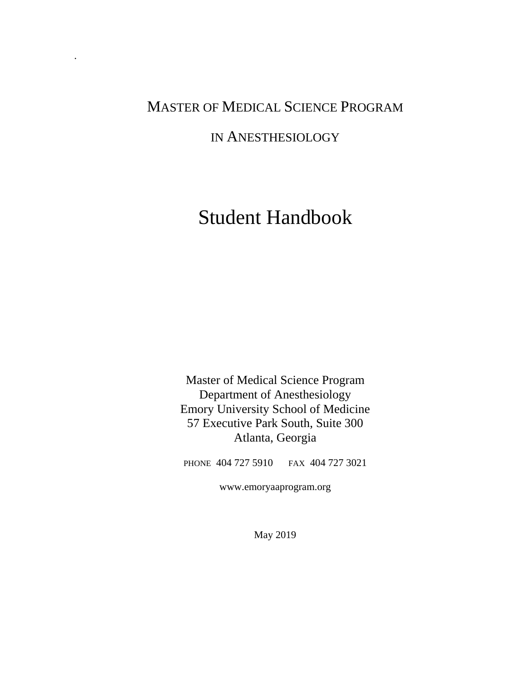# MASTER OF MEDICAL SCIENCE PROGRAM

.

## IN ANESTHESIOLOGY

# Student Handbook

Master of Medical Science Program Department of Anesthesiology Emory University School of Medicine 57 Executive Park South, Suite 300 Atlanta, Georgia

PHONE 404 727 5910 FAX 404 727 3021

www.emoryaaprogram.org

May 2019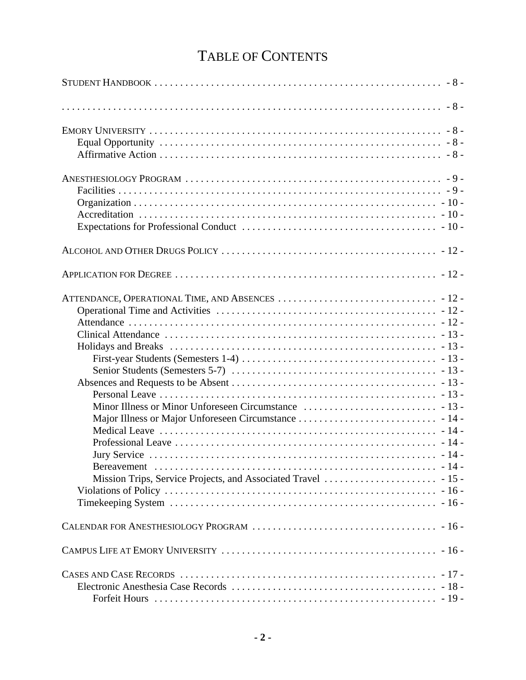# TABLE OF CONTENTS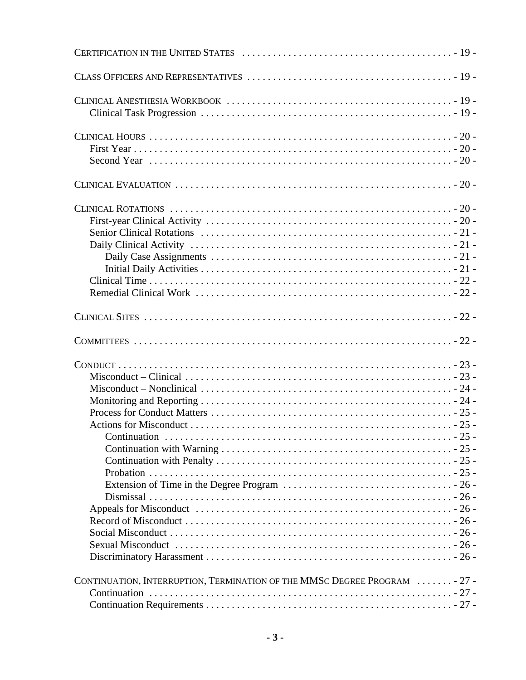| CONTINUATION, INTERRUPTION, TERMINATION OF THE MMSC DEGREE PROGRAM  - 27 - |  |
|----------------------------------------------------------------------------|--|
|                                                                            |  |
|                                                                            |  |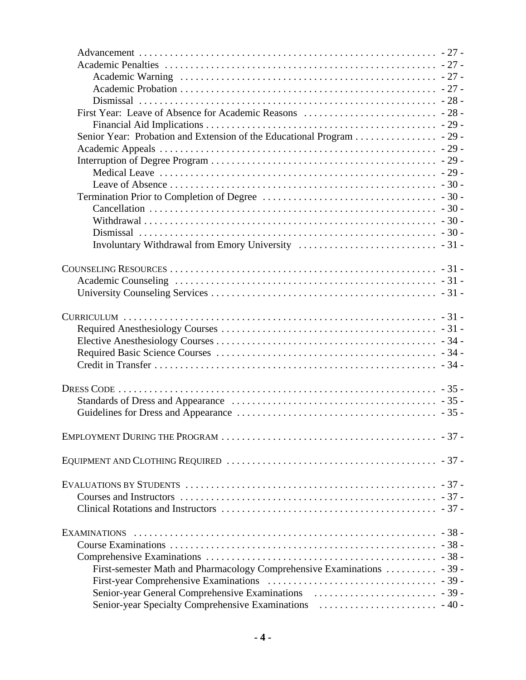| Senior Year: Probation and Extension of the Educational Program 29 -                                            |  |
|-----------------------------------------------------------------------------------------------------------------|--|
|                                                                                                                 |  |
|                                                                                                                 |  |
|                                                                                                                 |  |
|                                                                                                                 |  |
|                                                                                                                 |  |
|                                                                                                                 |  |
|                                                                                                                 |  |
|                                                                                                                 |  |
|                                                                                                                 |  |
|                                                                                                                 |  |
|                                                                                                                 |  |
|                                                                                                                 |  |
|                                                                                                                 |  |
|                                                                                                                 |  |
|                                                                                                                 |  |
|                                                                                                                 |  |
|                                                                                                                 |  |
|                                                                                                                 |  |
|                                                                                                                 |  |
|                                                                                                                 |  |
|                                                                                                                 |  |
|                                                                                                                 |  |
|                                                                                                                 |  |
|                                                                                                                 |  |
|                                                                                                                 |  |
|                                                                                                                 |  |
|                                                                                                                 |  |
| EVALUATIONS BY STUDENTS $\dots\dots\dots\dots\dots\dots\dots\dots\dots\dots\dots\dots\dots\dots\dots\dots\dots$ |  |
|                                                                                                                 |  |
|                                                                                                                 |  |
|                                                                                                                 |  |
|                                                                                                                 |  |
|                                                                                                                 |  |
|                                                                                                                 |  |
|                                                                                                                 |  |
| First-semester Math and Pharmacology Comprehensive Examinations  - 39 -                                         |  |
|                                                                                                                 |  |
|                                                                                                                 |  |
|                                                                                                                 |  |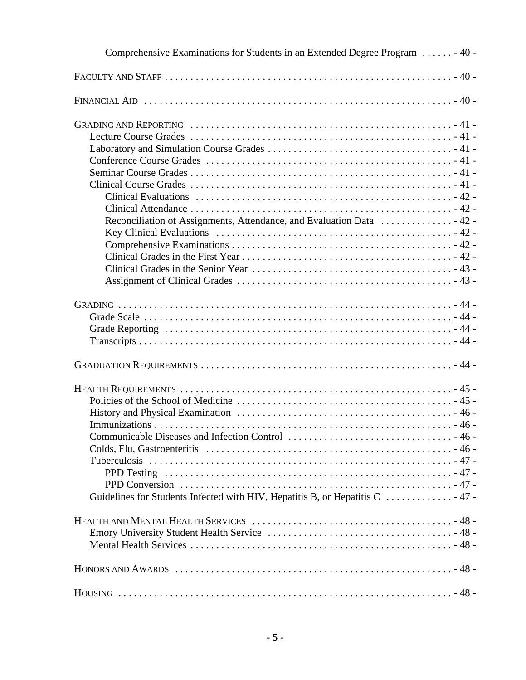| Comprehensive Examinations for Students in an Extended Degree Program  - 40 - |  |
|-------------------------------------------------------------------------------|--|
|                                                                               |  |
|                                                                               |  |
|                                                                               |  |
|                                                                               |  |
|                                                                               |  |
|                                                                               |  |
|                                                                               |  |
|                                                                               |  |
|                                                                               |  |
|                                                                               |  |
| Reconciliation of Assignments, Attendance, and Evaluation Data  42 -          |  |
|                                                                               |  |
|                                                                               |  |
|                                                                               |  |
|                                                                               |  |
|                                                                               |  |
|                                                                               |  |
|                                                                               |  |
|                                                                               |  |
|                                                                               |  |
|                                                                               |  |
|                                                                               |  |
|                                                                               |  |
|                                                                               |  |
|                                                                               |  |
|                                                                               |  |
|                                                                               |  |
|                                                                               |  |
|                                                                               |  |
|                                                                               |  |
|                                                                               |  |
| Guidelines for Students Infected with HIV, Hepatitis B, or Hepatitis C  47 -  |  |
|                                                                               |  |
|                                                                               |  |
|                                                                               |  |
|                                                                               |  |
|                                                                               |  |
|                                                                               |  |
|                                                                               |  |
|                                                                               |  |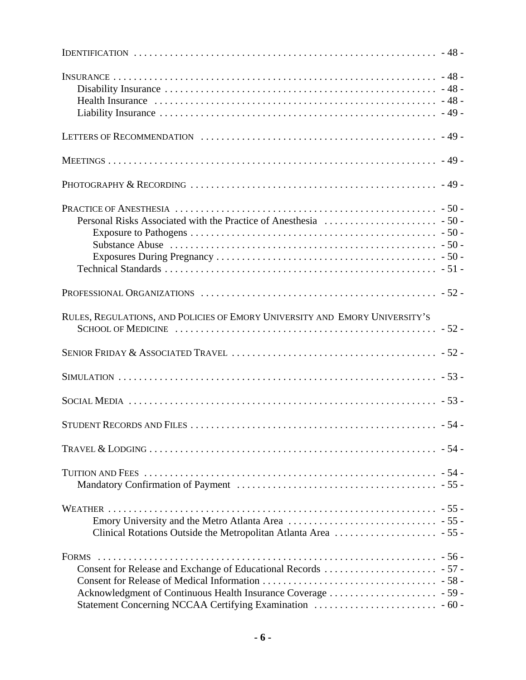| RULES, REGULATIONS, AND POLICIES OF EMORY UNIVERSITY AND EMORY UNIVERSITY'S |  |
|-----------------------------------------------------------------------------|--|
|                                                                             |  |
|                                                                             |  |
|                                                                             |  |
|                                                                             |  |
|                                                                             |  |
|                                                                             |  |
|                                                                             |  |
| <b>FORMS</b>                                                                |  |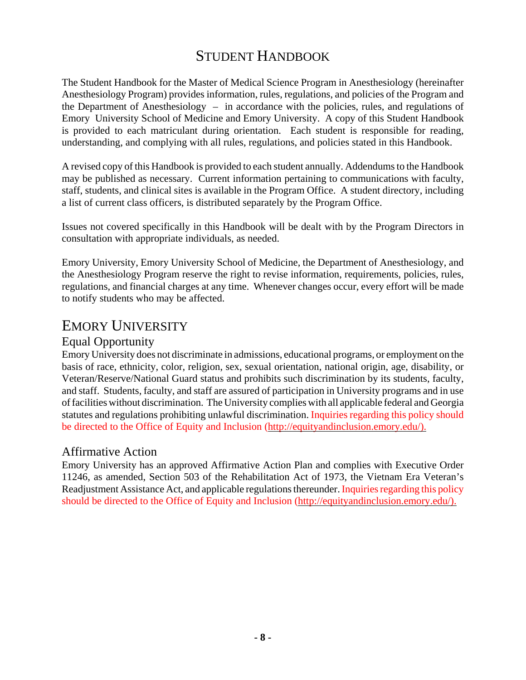## STUDENT HANDBOOK

The Student Handbook for the Master of Medical Science Program in Anesthesiology (hereinafter Anesthesiology Program) provides information, rules, regulations, and policies of the Program and the Department of Anesthesiology – in accordance with the policies, rules, and regulations of Emory University School of Medicine and Emory University. A copy of this Student Handbook is provided to each matriculant during orientation. Each student is responsible for reading, understanding, and complying with all rules, regulations, and policies stated in this Handbook.

A revised copy of this Handbook is provided to each student annually. Addendums to the Handbook may be published as necessary. Current information pertaining to communications with faculty, staff, students, and clinical sites is available in the Program Office. A student directory, including a list of current class officers, is distributed separately by the Program Office.

Issues not covered specifically in this Handbook will be dealt with by the Program Directors in consultation with appropriate individuals, as needed.

Emory University, Emory University School of Medicine, the Department of Anesthesiology, and the Anesthesiology Program reserve the right to revise information, requirements, policies, rules, regulations, and financial charges at any time. Whenever changes occur, every effort will be made to notify students who may be affected.

## EMORY UNIVERSITY

### Equal Opportunity

Emory University does not discriminate in admissions, educational programs, or employment on the basis of race, ethnicity, color, religion, sex, sexual orientation, national origin, age, disability, or Veteran/Reserve/National Guard status and prohibits such discrimination by its students, faculty, and staff. Students, faculty, and staff are assured of participation in University programs and in use of facilities without discrimination. The University complies with all applicable federal and Georgia statutes and regulations prohibiting unlawful discrimination. Inquiries regarding this policy should be directed to the Office of Equity and Inclusion (http://equityandinclusion.emory.edu/).

### Affirmative Action

Emory University has an approved Affirmative Action Plan and complies with Executive Order 11246, as amended, Section 503 of the Rehabilitation Act of 1973, the Vietnam Era Veteran's Readjustment Assistance Act, and applicable regulations thereunder. Inquiries regarding this policy should be directed to the Office of Equity and Inclusion (http://equityandinclusion.emory.edu/).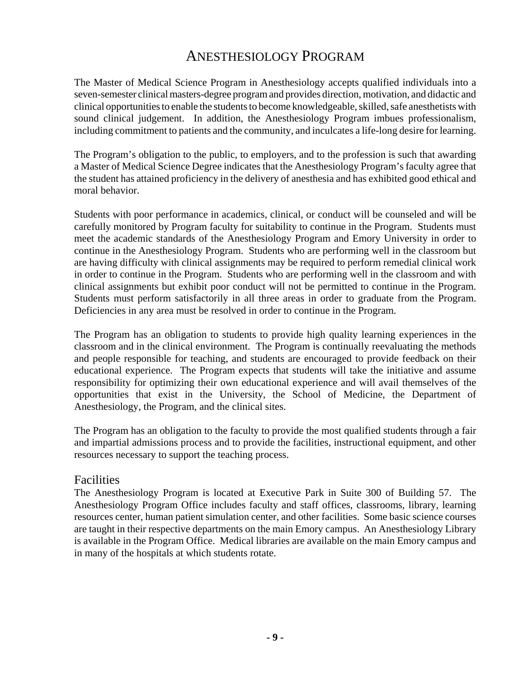## ANESTHESIOLOGY PROGRAM

The Master of Medical Science Program in Anesthesiology accepts qualified individuals into a seven-semester clinical masters-degree program and provides direction, motivation, and didactic and clinical opportunities to enable the students to become knowledgeable, skilled, safe anesthetists with sound clinical judgement. In addition, the Anesthesiology Program imbues professionalism, including commitment to patients and the community, and inculcates a life-long desire for learning.

The Program's obligation to the public, to employers, and to the profession is such that awarding a Master of Medical Science Degree indicates that the Anesthesiology Program's faculty agree that the student has attained proficiency in the delivery of anesthesia and has exhibited good ethical and moral behavior.

Students with poor performance in academics, clinical, or conduct will be counseled and will be carefully monitored by Program faculty for suitability to continue in the Program. Students must meet the academic standards of the Anesthesiology Program and Emory University in order to continue in the Anesthesiology Program. Students who are performing well in the classroom but are having difficulty with clinical assignments may be required to perform remedial clinical work in order to continue in the Program. Students who are performing well in the classroom and with clinical assignments but exhibit poor conduct will not be permitted to continue in the Program. Students must perform satisfactorily in all three areas in order to graduate from the Program. Deficiencies in any area must be resolved in order to continue in the Program.

The Program has an obligation to students to provide high quality learning experiences in the classroom and in the clinical environment. The Program is continually reevaluating the methods and people responsible for teaching, and students are encouraged to provide feedback on their educational experience. The Program expects that students will take the initiative and assume responsibility for optimizing their own educational experience and will avail themselves of the opportunities that exist in the University, the School of Medicine, the Department of Anesthesiology, the Program, and the clinical sites.

The Program has an obligation to the faculty to provide the most qualified students through a fair and impartial admissions process and to provide the facilities, instructional equipment, and other resources necessary to support the teaching process.

#### **Facilities**

The Anesthesiology Program is located at Executive Park in Suite 300 of Building 57. The Anesthesiology Program Office includes faculty and staff offices, classrooms, library, learning resources center, human patient simulation center, and other facilities. Some basic science courses are taught in their respective departments on the main Emory campus. An Anesthesiology Library is available in the Program Office. Medical libraries are available on the main Emory campus and in many of the hospitals at which students rotate.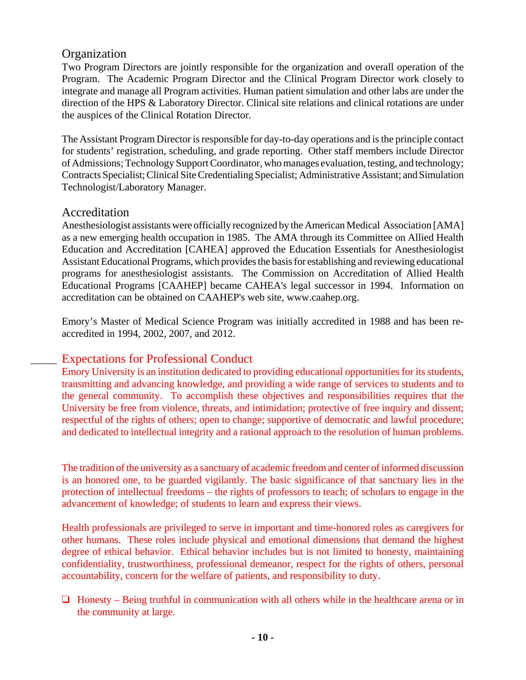### **Organization**

Two Program Directors are jointly responsible for the organization and overall operation of the Program. The Academic Program Director and the Clinical Program Director work closely to integrate and manage all Program activities. Human patient simulation and other labs are under the direction of the HPS & Laboratory Director. Clinical site relations and clinical rotations are under the auspices of the Clinical Rotation Director.

The Assistant Program Director is responsible for day-to-day operations and is the principle contact for students' registration, scheduling, and grade reporting. Other staff members include Director of Admissions; Technology Support Coordinator, who manages evaluation, testing, and technology; Contracts Specialist; Clinical Site Credentialing Specialist; Administrative Assistant; and Simulation Technologist/Laboratory Manager.

### Accreditation

Anesthesiologist assistants were officially recognized by the American Medical Association [AMA] as a new emerging health occupation in 1985. The AMA through its Committee on Allied Health Education and Accreditation [CAHEA] approved the Education Essentials for Anesthesiologist Assistant Educational Programs, which provides the basis for establishing and reviewing educational programs for anesthesiologist assistants. The Commission on Accreditation of Allied Health Educational Programs [CAAHEP] became CAHEA's legal successor in 1994. Information on accreditation can be obtained on CAAHEP's web site, www.caahep.org.

Emory's Master of Medical Science Program was initially accredited in 1988 and has been reaccredited in 1994, 2002, 2007, and 2012.

### Expectations for Professional Conduct

Emory University is an institution dedicated to providing educational opportunities for its students, transmitting and advancing knowledge, and providing a wide range of services to students and to the general community. To accomplish these objectives and responsibilities requires that the University be free from violence, threats, and intimidation; protective of free inquiry and dissent; respectful of the rights of others; open to change; supportive of democratic and lawful procedure; and dedicated to intellectual integrity and a rational approach to the resolution of human problems.

The tradition of the university as a sanctuary of academic freedom and center of informed discussion is an honored one, to be guarded vigilantly. The basic significance of that sanctuary lies in the protection of intellectual freedoms – the rights of professors to teach; of scholars to engage in the advancement of knowledge; of students to learn and express their views.

Health professionals are privileged to serve in important and time-honored roles as caregivers for other humans. These roles include physical and emotional dimensions that demand the highest degree of ethical behavior. Ethical behavior includes but is not limited to honesty, maintaining confidentiality, trustworthiness, professional demeanor, respect for the rights of others, personal accountability, concern for the welfare of patients, and responsibility to duty.

 $\Box$  Honesty – Being truthful in communication with all others while in the healthcare arena or in the community at large.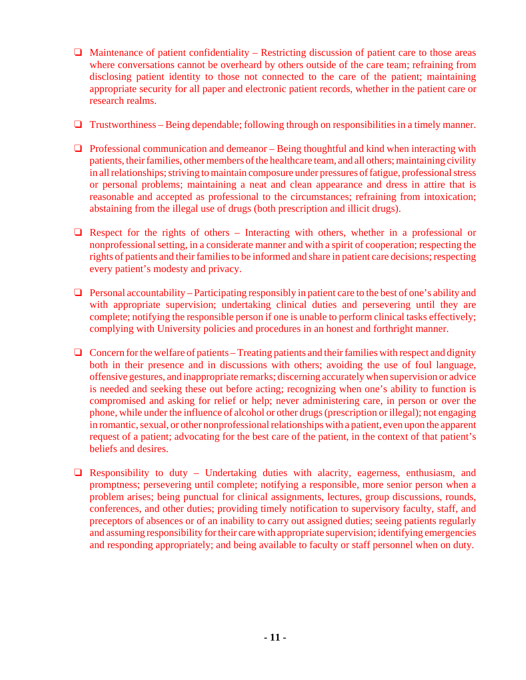- $\Box$  Maintenance of patient confidentiality Restricting discussion of patient care to those areas where conversations cannot be overheard by others outside of the care team; refraining from disclosing patient identity to those not connected to the care of the patient; maintaining appropriate security for all paper and electronic patient records, whether in the patient care or research realms.
- $\Box$  Trustworthiness Being dependable; following through on responsibilities in a timely manner.
- $\Box$  Professional communication and demeanor Being thoughtful and kind when interacting with patients, their families, other members of the healthcare team, and all others; maintaining civility in all relationships; striving to maintain composure under pressures of fatigue, professional stress or personal problems; maintaining a neat and clean appearance and dress in attire that is reasonable and accepted as professional to the circumstances; refraining from intoxication; abstaining from the illegal use of drugs (both prescription and illicit drugs).
- $\Box$  Respect for the rights of others Interacting with others, whether in a professional or nonprofessional setting, in a considerate manner and with a spirit of cooperation; respecting the rights of patients and their families to be informed and share in patient care decisions; respecting every patient's modesty and privacy.
- $\Box$  Personal accountability Participating responsibly in patient care to the best of one's ability and with appropriate supervision; undertaking clinical duties and persevering until they are complete; notifying the responsible person if one is unable to perform clinical tasks effectively; complying with University policies and procedures in an honest and forthright manner.
- $\Box$  Concern for the welfare of patients Treating patients and their families with respect and dignity both in their presence and in discussions with others; avoiding the use of foul language, offensive gestures, and inappropriate remarks; discerning accurately when supervision or advice is needed and seeking these out before acting; recognizing when one's ability to function is compromised and asking for relief or help; never administering care, in person or over the phone, while under the influence of alcohol or other drugs (prescription or illegal); not engaging in romantic, sexual, or other nonprofessional relationships with a patient, even upon the apparent request of a patient; advocating for the best care of the patient, in the context of that patient's beliefs and desires.
- $\Box$  Responsibility to duty Undertaking duties with alacrity, eagerness, enthusiasm, and promptness; persevering until complete; notifying a responsible, more senior person when a problem arises; being punctual for clinical assignments, lectures, group discussions, rounds, conferences, and other duties; providing timely notification to supervisory faculty, staff, and preceptors of absences or of an inability to carry out assigned duties; seeing patients regularly and assuming responsibility for their care with appropriate supervision; identifying emergencies and responding appropriately; and being available to faculty or staff personnel when on duty.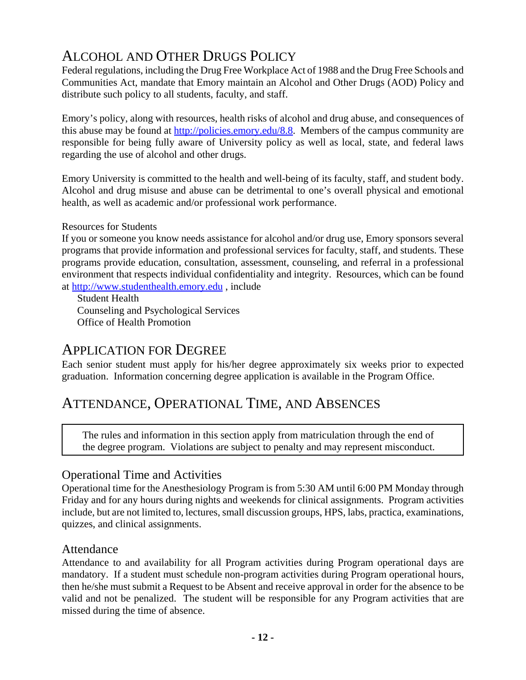# ALCOHOL AND OTHER DRUGS POLICY

Federal regulations, including the Drug Free Workplace Act of 1988 and the Drug Free Schools and Communities Act, mandate that Emory maintain an Alcohol and Other Drugs (AOD) Policy and distribute such policy to all students, faculty, and staff.

Emory's policy, along with resources, health risks of alcohol and drug abuse, and consequences of this abuse may be found at http://policies.emory.edu/8.8. Members of the campus community are responsible for being fully aware of University policy as well as local, state, and federal laws regarding the use of alcohol and other drugs.

Emory University is committed to the health and well-being of its faculty, staff, and student body. Alcohol and drug misuse and abuse can be detrimental to one's overall physical and emotional health, as well as academic and/or professional work performance.

#### Resources for Students

If you or someone you know needs assistance for alcohol and/or drug use, Emory sponsors several programs that provide information and professional services for faculty, staff, and students. These programs provide education, consultation, assessment, counseling, and referral in a professional environment that respects individual confidentiality and integrity. Resources, which can be found at http://www.studenthealth.emory.edu , include

Student Health Counseling and Psychological Services Office of Health Promotion

## APPLICATION FOR DEGREE

Each senior student must apply for his/her degree approximately six weeks prior to expected graduation. Information concerning degree application is available in the Program Office.

## ATTENDANCE, OPERATIONAL TIME, AND ABSENCES

The rules and information in this section apply from matriculation through the end of the degree program. Violations are subject to penalty and may represent misconduct.

### Operational Time and Activities

Operational time for the Anesthesiology Program is from 5:30 AM until 6:00 PM Monday through Friday and for any hours during nights and weekends for clinical assignments. Program activities include, but are not limited to, lectures, small discussion groups, HPS, labs, practica, examinations, quizzes, and clinical assignments.

### Attendance

Attendance to and availability for all Program activities during Program operational days are mandatory. If a student must schedule non-program activities during Program operational hours, then he/she must submit a Request to be Absent and receive approval in order for the absence to be valid and not be penalized. The student will be responsible for any Program activities that are missed during the time of absence.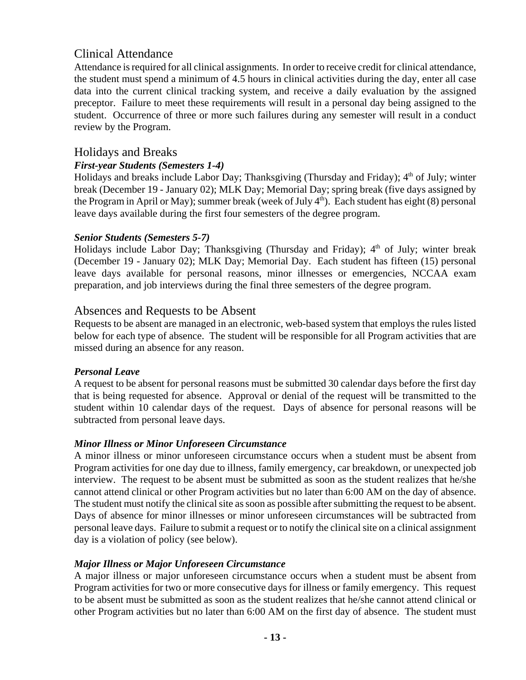## Clinical Attendance

Attendance is required for all clinical assignments. In order to receive credit for clinical attendance, the student must spend a minimum of 4.5 hours in clinical activities during the day, enter all case data into the current clinical tracking system, and receive a daily evaluation by the assigned preceptor. Failure to meet these requirements will result in a personal day being assigned to the student. Occurrence of three or more such failures during any semester will result in a conduct review by the Program.

### Holidays and Breaks

### *First-year Students (Semesters 1-4)*

Holidays and breaks include Labor Day; Thanksgiving (Thursday and Friday); 4<sup>th</sup> of July; winter break (December 19 - January 02); MLK Day; Memorial Day; spring break (five days assigned by the Program in April or May); summer break (week of July 4<sup>th</sup>). Each student has eight (8) personal leave days available during the first four semesters of the degree program.

### *Senior Students (Semesters 5-7)*

Holidays include Labor Day; Thanksgiving (Thursday and Friday);  $4<sup>th</sup>$  of July; winter break (December 19 - January 02); MLK Day; Memorial Day. Each student has fifteen (15) personal leave days available for personal reasons, minor illnesses or emergencies, NCCAA exam preparation, and job interviews during the final three semesters of the degree program.

### Absences and Requests to be Absent

Requests to be absent are managed in an electronic, web-based system that employs the rules listed below for each type of absence. The student will be responsible for all Program activities that are missed during an absence for any reason.

#### *Personal Leave*

A request to be absent for personal reasons must be submitted 30 calendar days before the first day that is being requested for absence. Approval or denial of the request will be transmitted to the student within 10 calendar days of the request. Days of absence for personal reasons will be subtracted from personal leave days.

### *Minor Illness or Minor Unforeseen Circumstance*

A minor illness or minor unforeseen circumstance occurs when a student must be absent from Program activities for one day due to illness, family emergency, car breakdown, or unexpected job interview. The request to be absent must be submitted as soon as the student realizes that he/she cannot attend clinical or other Program activities but no later than 6:00 AM on the day of absence. The student must notify the clinical site as soon as possible after submitting the request to be absent. Days of absence for minor illnesses or minor unforeseen circumstances will be subtracted from personal leave days. Failure to submit a request or to notify the clinical site on a clinical assignment day is a violation of policy (see below).

### *Major Illness or Major Unforeseen Circumstance*

A major illness or major unforeseen circumstance occurs when a student must be absent from Program activities for two or more consecutive days for illness or family emergency. This request to be absent must be submitted as soon as the student realizes that he/she cannot attend clinical or other Program activities but no later than 6:00 AM on the first day of absence. The student must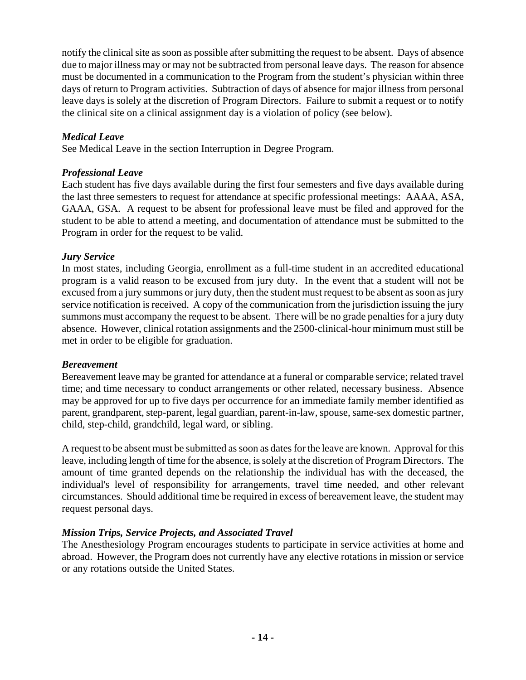notify the clinical site as soon as possible after submitting the request to be absent. Days of absence due to major illness may or may not be subtracted from personal leave days. The reason for absence must be documented in a communication to the Program from the student's physician within three days of return to Program activities. Subtraction of days of absence for major illness from personal leave days is solely at the discretion of Program Directors. Failure to submit a request or to notify the clinical site on a clinical assignment day is a violation of policy (see below).

### *Medical Leave*

See Medical Leave in the section Interruption in Degree Program.

### *Professional Leave*

Each student has five days available during the first four semesters and five days available during the last three semesters to request for attendance at specific professional meetings: AAAA, ASA, GAAA, GSA. A request to be absent for professional leave must be filed and approved for the student to be able to attend a meeting, and documentation of attendance must be submitted to the Program in order for the request to be valid.

### *Jury Service*

In most states, including Georgia, enrollment as a full-time student in an accredited educational program is a valid reason to be excused from jury duty. In the event that a student will not be excused from a jury summons or jury duty, then the student must request to be absent as soon as jury service notification is received. A copy of the communication from the jurisdiction issuing the jury summons must accompany the request to be absent. There will be no grade penalties for a jury duty absence. However, clinical rotation assignments and the 2500-clinical-hour minimum must still be met in order to be eligible for graduation.

#### *Bereavement*

Bereavement leave may be granted for attendance at a funeral or comparable service; related travel time; and time necessary to conduct arrangements or other related, necessary business. Absence may be approved for up to five days per occurrence for an immediate family member identified as parent, grandparent, step-parent, legal guardian, parent-in-law, spouse, same-sex domestic partner, child, step-child, grandchild, legal ward, or sibling.

A request to be absent must be submitted as soon as dates for the leave are known. Approval for this leave, including length of time for the absence, is solely at the discretion of Program Directors. The amount of time granted depends on the relationship the individual has with the deceased, the individual's level of responsibility for arrangements, travel time needed, and other relevant circumstances. Should additional time be required in excess of bereavement leave, the student may request personal days.

### *Mission Trips, Service Projects, and Associated Travel*

The Anesthesiology Program encourages students to participate in service activities at home and abroad. However, the Program does not currently have any elective rotations in mission or service or any rotations outside the United States.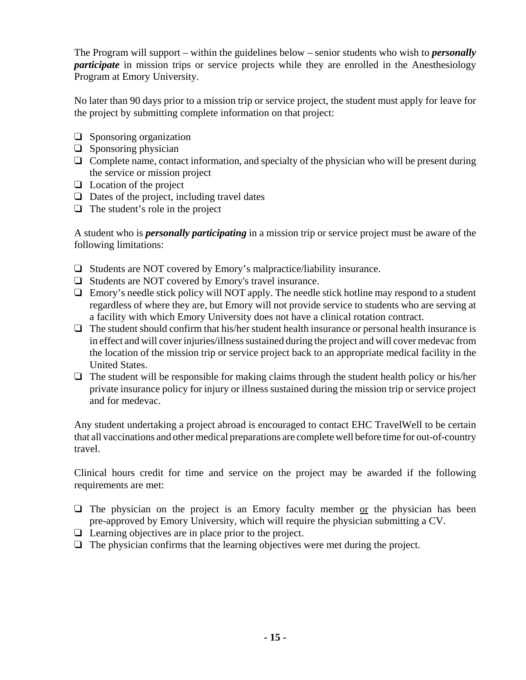The Program will support – within the guidelines below – senior students who wish to *personally participate* in mission trips or service projects while they are enrolled in the Anesthesiology Program at Emory University.

No later than 90 days prior to a mission trip or service project, the student must apply for leave for the project by submitting complete information on that project:

- $\Box$  Sponsoring organization
- $\Box$  Sponsoring physician
- $\Box$  Complete name, contact information, and specialty of the physician who will be present during the service or mission project
- $\Box$  Location of the project
- $\Box$  Dates of the project, including travel dates
- $\Box$  The student's role in the project

A student who is *personally participating* in a mission trip or service project must be aware of the following limitations:

- $\Box$  Students are NOT covered by Emory's malpractice/liability insurance.
- $\Box$  Students are NOT covered by Emory's travel insurance.
- $\Box$  Emory's needle stick policy will NOT apply. The needle stick hotline may respond to a student regardless of where they are, but Emory will not provide service to students who are serving at a facility with which Emory University does not have a clinical rotation contract.
- $\Box$  The student should confirm that his/her student health insurance or personal health insurance is in effect and will cover injuries/illness sustained during the project and will cover medevac from the location of the mission trip or service project back to an appropriate medical facility in the United States.
- $\Box$  The student will be responsible for making claims through the student health policy or his/her private insurance policy for injury or illness sustained during the mission trip or service project and for medevac.

Any student undertaking a project abroad is encouraged to contact EHC TravelWell to be certain that all vaccinations and other medical preparations are complete well before time for out-of-country travel.

Clinical hours credit for time and service on the project may be awarded if the following requirements are met:

- $\Box$  The physician on the project is an Emory faculty member or the physician has been pre-approved by Emory University, which will require the physician submitting a CV.
- $\Box$  Learning objectives are in place prior to the project.
- $\Box$  The physician confirms that the learning objectives were met during the project.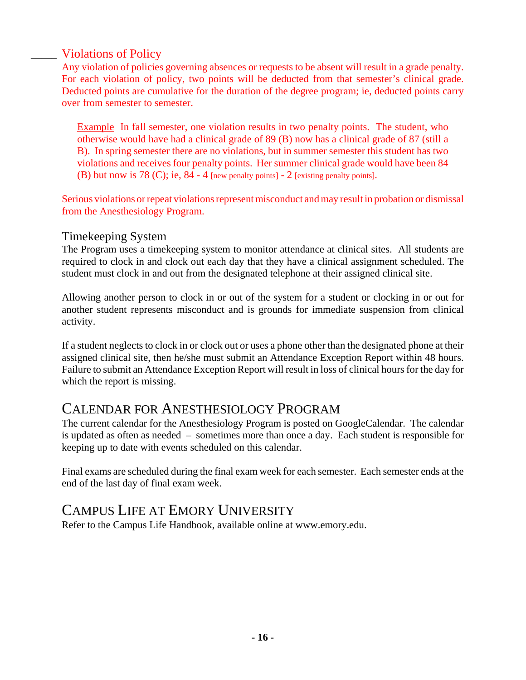## \_\_\_\_\_ Violations of Policy

Any violation of policies governing absences or requests to be absent will result in a grade penalty. For each violation of policy, two points will be deducted from that semester's clinical grade. Deducted points are cumulative for the duration of the degree program; ie, deducted points carry over from semester to semester.

Example In fall semester, one violation results in two penalty points. The student, who otherwise would have had a clinical grade of 89 (B) now has a clinical grade of 87 (still a B). In spring semester there are no violations, but in summer semester this student has two violations and receives four penalty points. Her summer clinical grade would have been 84 (B) but now is 78 (C); ie, 84 - 4 [new penalty points] - 2 [existing penalty points].

Serious violations or repeat violations represent misconduct and may result in probation or dismissal from the Anesthesiology Program.

### Timekeeping System

The Program uses a timekeeping system to monitor attendance at clinical sites. All students are required to clock in and clock out each day that they have a clinical assignment scheduled. The student must clock in and out from the designated telephone at their assigned clinical site.

Allowing another person to clock in or out of the system for a student or clocking in or out for another student represents misconduct and is grounds for immediate suspension from clinical activity.

If a student neglects to clock in or clock out or uses a phone other than the designated phone at their assigned clinical site, then he/she must submit an Attendance Exception Report within 48 hours. Failure to submit an Attendance Exception Report will result in loss of clinical hours for the day for which the report is missing.

## CALENDAR FOR ANESTHESIOLOGY PROGRAM

The current calendar for the Anesthesiology Program is posted on GoogleCalendar. The calendar is updated as often as needed – sometimes more than once a day. Each student is responsible for keeping up to date with events scheduled on this calendar.

Final exams are scheduled during the final exam week for each semester. Each semester ends at the end of the last day of final exam week.

# CAMPUS LIFE AT EMORY UNIVERSITY

Refer to the Campus Life Handbook, available online at www.emory.edu.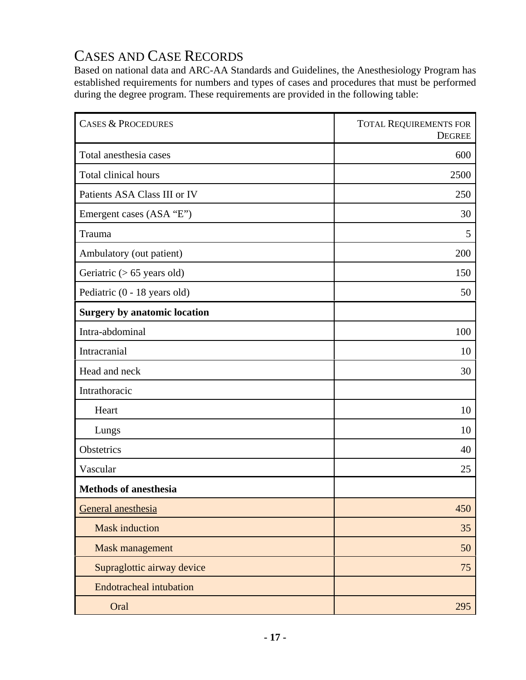# CASES AND CASE RECORDS

Based on national data and ARC-AA Standards and Guidelines, the Anesthesiology Program has established requirements for numbers and types of cases and procedures that must be performed during the degree program. These requirements are provided in the following table:

| <b>CASES &amp; PROCEDURES</b>       | <b>TOTAL REQUIREMENTS FOR</b><br><b>DEGREE</b> |
|-------------------------------------|------------------------------------------------|
| Total anesthesia cases              | 600                                            |
| Total clinical hours                | 2500                                           |
| Patients ASA Class III or IV        | 250                                            |
| Emergent cases (ASA "E")            | 30                                             |
| Trauma                              | 5                                              |
| Ambulatory (out patient)            | 200                                            |
| Geriatric $(> 65$ years old)        | 150                                            |
| Pediatric (0 - 18 years old)        | 50                                             |
| <b>Surgery by anatomic location</b> |                                                |
| Intra-abdominal                     | 100                                            |
| Intracranial                        | 10                                             |
| Head and neck                       | 30                                             |
| Intrathoracic                       |                                                |
| Heart                               | 10                                             |
| Lungs                               | 10                                             |
| Obstetrics                          | 40                                             |
| Vascular                            | 25                                             |
| <b>Methods of anesthesia</b>        |                                                |
| General anesthesia                  | 450                                            |
| <b>Mask induction</b>               | 35                                             |
| Mask management                     | 50                                             |
| Supraglottic airway device          | 75                                             |
| <b>Endotracheal intubation</b>      |                                                |
| Oral                                | 295                                            |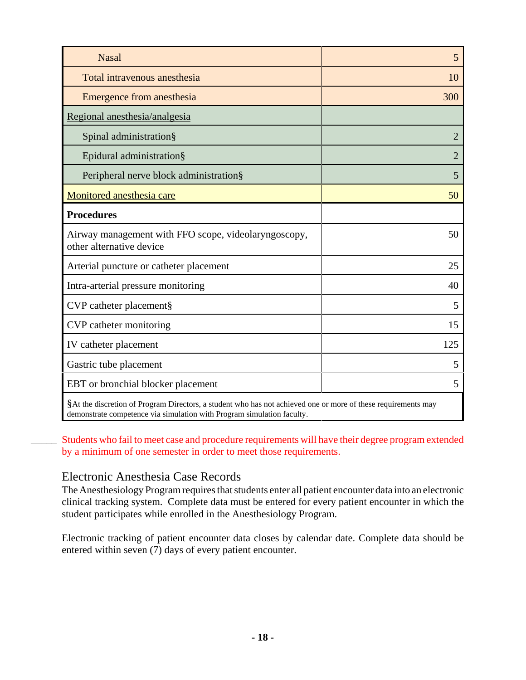| <b>Nasal</b>                                                                                             | 5              |
|----------------------------------------------------------------------------------------------------------|----------------|
| Total intravenous anesthesia                                                                             | 10             |
| Emergence from anesthesia                                                                                | 300            |
| Regional anesthesia/analgesia                                                                            |                |
| Spinal administration§                                                                                   | $\overline{2}$ |
| Epidural administration§                                                                                 | 2              |
| Peripheral nerve block administration§                                                                   | 5              |
| Monitored anesthesia care                                                                                | 50             |
| <b>Procedures</b>                                                                                        |                |
| Airway management with FFO scope, videolaryngoscopy,<br>other alternative device                         | 50             |
| Arterial puncture or catheter placement                                                                  | 25             |
| Intra-arterial pressure monitoring                                                                       | 40             |
| CVP catheter placement§                                                                                  | 5              |
| CVP catheter monitoring                                                                                  | 15             |
| IV catheter placement                                                                                    | 125            |
| Gastric tube placement                                                                                   | 5              |
| EBT or bronchial blocker placement                                                                       | 5              |
| $\theta$ is a second of $\theta$ is a second of $\theta$ is a second of $\theta$ is a second of $\theta$ |                |

§At the discretion of Program Directors, a student who has not achieved one or more of these requirements may demonstrate competence via simulation with Program simulation faculty.

Students who fail to meet case and procedure requirements will have their degree program extended by a minimum of one semester in order to meet those requirements.

#### Electronic Anesthesia Case Records

The Anesthesiology Program requires that students enter all patient encounter data into an electronic clinical tracking system. Complete data must be entered for every patient encounter in which the student participates while enrolled in the Anesthesiology Program.

Electronic tracking of patient encounter data closes by calendar date. Complete data should be entered within seven (7) days of every patient encounter.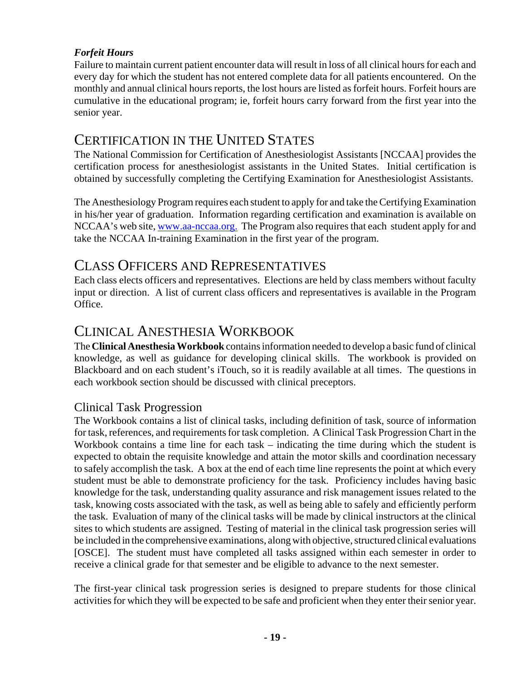### *Forfeit Hours*

Failure to maintain current patient encounter data will result in loss of all clinical hours for each and every day for which the student has not entered complete data for all patients encountered. On the monthly and annual clinical hours reports, the lost hours are listed as forfeit hours. Forfeit hours are cumulative in the educational program; ie, forfeit hours carry forward from the first year into the senior year.

## CERTIFICATION IN THE UNITED STATES

The National Commission for Certification of Anesthesiologist Assistants [NCCAA] provides the certification process for anesthesiologist assistants in the United States. Initial certification is obtained by successfully completing the Certifying Examination for Anesthesiologist Assistants.

The Anesthesiology Program requires each student to apply for and take the Certifying Examination in his/her year of graduation. Information regarding certification and examination is available on NCCAA's web site, www.aa-nccaa.org. The Program also requires that each student apply for and take the NCCAA In-training Examination in the first year of the program.

## CLASS OFFICERS AND REPRESENTATIVES

Each class elects officers and representatives. Elections are held by class members without faculty input or direction. A list of current class officers and representatives is available in the Program Office.

## CLINICAL ANESTHESIA WORKBOOK

The **Clinical Anesthesia Workbook** contains information needed to develop a basic fund of clinical knowledge, as well as guidance for developing clinical skills. The workbook is provided on Blackboard and on each student's iTouch, so it is readily available at all times. The questions in each workbook section should be discussed with clinical preceptors.

## Clinical Task Progression

The Workbook contains a list of clinical tasks, including definition of task, source of information for task, references, and requirements for task completion. A Clinical Task Progression Chart in the Workbook contains a time line for each task – indicating the time during which the student is expected to obtain the requisite knowledge and attain the motor skills and coordination necessary to safely accomplish the task. A box at the end of each time line represents the point at which every student must be able to demonstrate proficiency for the task. Proficiency includes having basic knowledge for the task, understanding quality assurance and risk management issues related to the task, knowing costs associated with the task, as well as being able to safely and efficiently perform the task. Evaluation of many of the clinical tasks will be made by clinical instructors at the clinical sites to which students are assigned. Testing of material in the clinical task progression series will be included in the comprehensive examinations, along with objective, structured clinical evaluations [OSCE]. The student must have completed all tasks assigned within each semester in order to receive a clinical grade for that semester and be eligible to advance to the next semester.

The first-year clinical task progression series is designed to prepare students for those clinical activities for which they will be expected to be safe and proficient when they enter their senior year.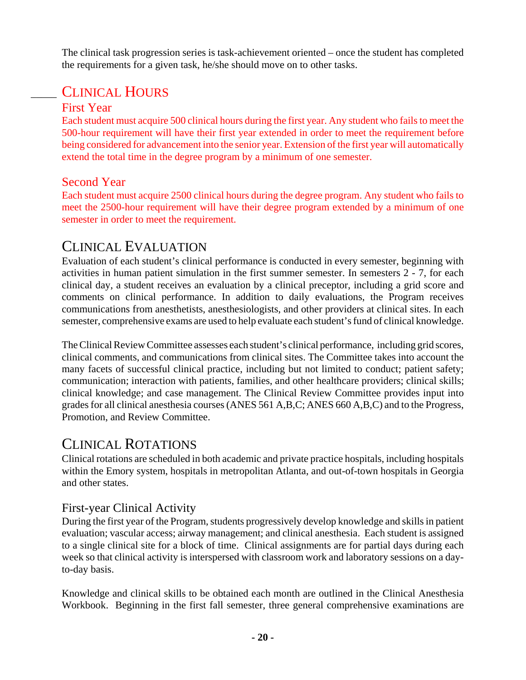The clinical task progression series is task-achievement oriented – once the student has completed the requirements for a given task, he/she should move on to other tasks.

# \_\_\_\_\_ CLINICAL HOURS

### First Year

Each student must acquire 500 clinical hours during the first year. Any student who fails to meet the 500-hour requirement will have their first year extended in order to meet the requirement before being considered for advancement into the senior year. Extension of the first year will automatically extend the total time in the degree program by a minimum of one semester.

### Second Year

Each student must acquire 2500 clinical hours during the degree program. Any student who fails to meet the 2500-hour requirement will have their degree program extended by a minimum of one semester in order to meet the requirement.

## CLINICAL EVALUATION

Evaluation of each student's clinical performance is conducted in every semester, beginning with activities in human patient simulation in the first summer semester. In semesters 2 - 7, for each clinical day, a student receives an evaluation by a clinical preceptor, including a grid score and comments on clinical performance. In addition to daily evaluations, the Program receives communications from anesthetists, anesthesiologists, and other providers at clinical sites. In each semester, comprehensive exams are used to help evaluate each student's fund of clinical knowledge.

The Clinical Review Committee assesses each student's clinical performance, including grid scores, clinical comments, and communications from clinical sites. The Committee takes into account the many facets of successful clinical practice, including but not limited to conduct; patient safety; communication; interaction with patients, families, and other healthcare providers; clinical skills; clinical knowledge; and case management. The Clinical Review Committee provides input into grades for all clinical anesthesia courses (ANES 561 A,B,C; ANES 660 A,B,C) and to the Progress, Promotion, and Review Committee.

## CLINICAL ROTATIONS

Clinical rotations are scheduled in both academic and private practice hospitals, including hospitals within the Emory system, hospitals in metropolitan Atlanta, and out-of-town hospitals in Georgia and other states.

### First-year Clinical Activity

During the first year of the Program, students progressively develop knowledge and skills in patient evaluation; vascular access; airway management; and clinical anesthesia. Each student is assigned to a single clinical site for a block of time. Clinical assignments are for partial days during each week so that clinical activity is interspersed with classroom work and laboratory sessions on a dayto-day basis.

Knowledge and clinical skills to be obtained each month are outlined in the Clinical Anesthesia Workbook. Beginning in the first fall semester, three general comprehensive examinations are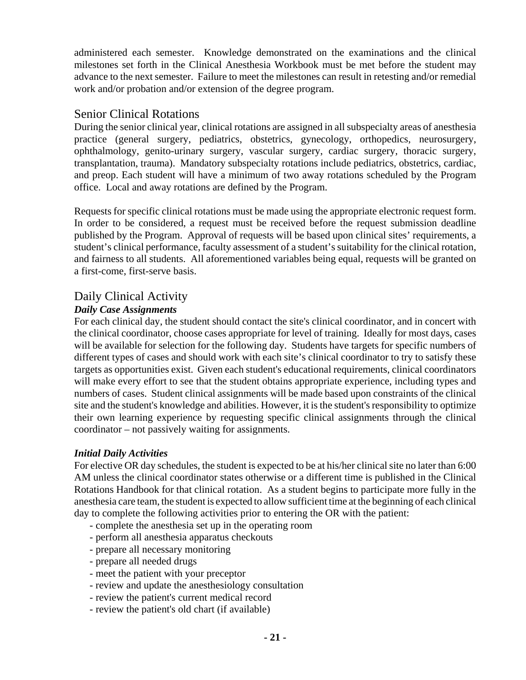administered each semester. Knowledge demonstrated on the examinations and the clinical milestones set forth in the Clinical Anesthesia Workbook must be met before the student may advance to the next semester. Failure to meet the milestones can result in retesting and/or remedial work and/or probation and/or extension of the degree program.

### Senior Clinical Rotations

During the senior clinical year, clinical rotations are assigned in all subspecialty areas of anesthesia practice (general surgery, pediatrics, obstetrics, gynecology, orthopedics, neurosurgery, ophthalmology, genito-urinary surgery, vascular surgery, cardiac surgery, thoracic surgery, transplantation, trauma). Mandatory subspecialty rotations include pediatrics, obstetrics, cardiac, and preop. Each student will have a minimum of two away rotations scheduled by the Program office. Local and away rotations are defined by the Program.

Requests for specific clinical rotations must be made using the appropriate electronic request form. In order to be considered, a request must be received before the request submission deadline published by the Program. Approval of requests will be based upon clinical sites' requirements, a student's clinical performance, faculty assessment of a student's suitability for the clinical rotation, and fairness to all students. All aforementioned variables being equal, requests will be granted on a first-come, first-serve basis.

## Daily Clinical Activity

### *Daily Case Assignments*

For each clinical day, the student should contact the site's clinical coordinator, and in concert with the clinical coordinator, choose cases appropriate for level of training. Ideally for most days, cases will be available for selection for the following day. Students have targets for specific numbers of different types of cases and should work with each site's clinical coordinator to try to satisfy these targets as opportunities exist. Given each student's educational requirements, clinical coordinators will make every effort to see that the student obtains appropriate experience, including types and numbers of cases. Student clinical assignments will be made based upon constraints of the clinical site and the student's knowledge and abilities. However, it is the student's responsibility to optimize their own learning experience by requesting specific clinical assignments through the clinical coordinator – not passively waiting for assignments.

### *Initial Daily Activities*

For elective OR day schedules, the student is expected to be at his/her clinical site no later than 6:00 AM unless the clinical coordinator states otherwise or a different time is published in the Clinical Rotations Handbook for that clinical rotation. As a student begins to participate more fully in the anesthesia care team, the student is expected to allow sufficient time at the beginning of each clinical day to complete the following activities prior to entering the OR with the patient:

- complete the anesthesia set up in the operating room
- perform all anesthesia apparatus checkouts
- prepare all necessary monitoring
- prepare all needed drugs
- meet the patient with your preceptor
- review and update the anesthesiology consultation
- review the patient's current medical record
- review the patient's old chart (if available)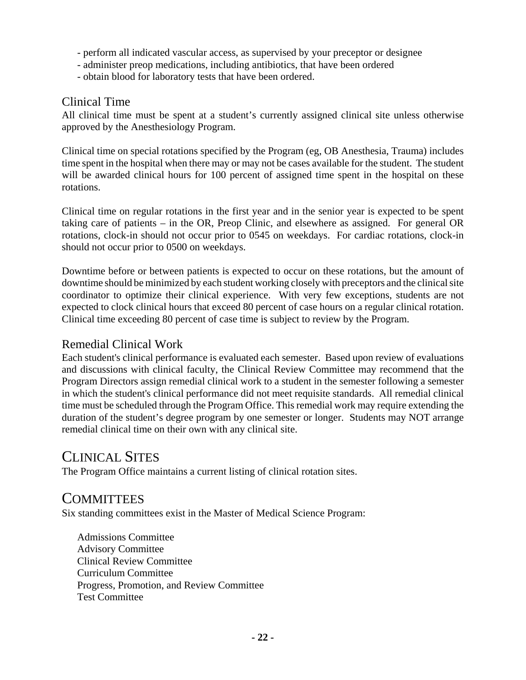- perform all indicated vascular access, as supervised by your preceptor or designee
- administer preop medications, including antibiotics, that have been ordered
- obtain blood for laboratory tests that have been ordered.

### Clinical Time

All clinical time must be spent at a student's currently assigned clinical site unless otherwise approved by the Anesthesiology Program.

Clinical time on special rotations specified by the Program (eg, OB Anesthesia, Trauma) includes time spent in the hospital when there may or may not be cases available for the student. The student will be awarded clinical hours for 100 percent of assigned time spent in the hospital on these rotations.

Clinical time on regular rotations in the first year and in the senior year is expected to be spent taking care of patients – in the OR, Preop Clinic, and elsewhere as assigned. For general OR rotations, clock-in should not occur prior to 0545 on weekdays. For cardiac rotations, clock-in should not occur prior to 0500 on weekdays.

Downtime before or between patients is expected to occur on these rotations, but the amount of downtime should be minimized by each student working closely with preceptors and the clinical site coordinator to optimize their clinical experience. With very few exceptions, students are not expected to clock clinical hours that exceed 80 percent of case hours on a regular clinical rotation. Clinical time exceeding 80 percent of case time is subject to review by the Program.

### Remedial Clinical Work

Each student's clinical performance is evaluated each semester. Based upon review of evaluations and discussions with clinical faculty, the Clinical Review Committee may recommend that the Program Directors assign remedial clinical work to a student in the semester following a semester in which the student's clinical performance did not meet requisite standards. All remedial clinical time must be scheduled through the Program Office. This remedial work may require extending the duration of the student's degree program by one semester or longer. Students may NOT arrange remedial clinical time on their own with any clinical site.

## CLINICAL SITES

The Program Office maintains a current listing of clinical rotation sites.

## **COMMITTEES**

Six standing committees exist in the Master of Medical Science Program:

Admissions Committee Advisory Committee Clinical Review Committee Curriculum Committee Progress, Promotion, and Review Committee Test Committee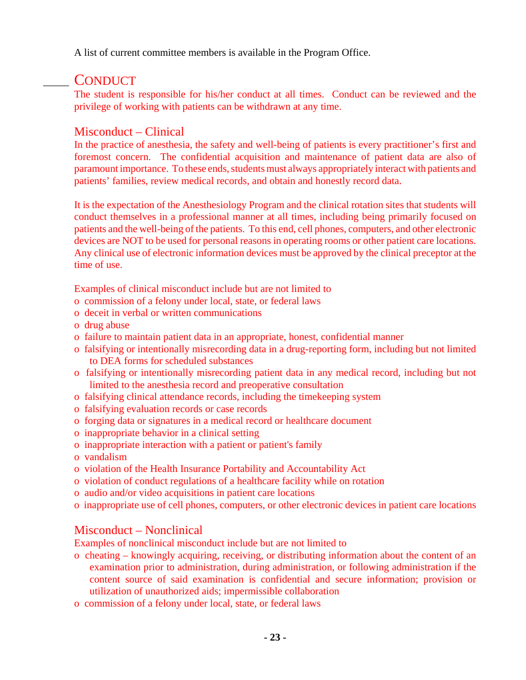A list of current committee members is available in the Program Office.

## \_\_\_\_\_ CONDUCT

The student is responsible for his/her conduct at all times. Conduct can be reviewed and the privilege of working with patients can be withdrawn at any time.

### Misconduct – Clinical

In the practice of anesthesia, the safety and well-being of patients is every practitioner's first and foremost concern. The confidential acquisition and maintenance of patient data are also of paramount importance. To these ends, students must always appropriately interact with patients and patients' families, review medical records, and obtain and honestly record data.

It is the expectation of the Anesthesiology Program and the clinical rotation sites that students will conduct themselves in a professional manner at all times, including being primarily focused on patients and the well-being of the patients. To this end, cell phones, computers, and other electronic devices are NOT to be used for personal reasons in operating rooms or other patient care locations. Any clinical use of electronic information devices must be approved by the clinical preceptor at the time of use.

Examples of clinical misconduct include but are not limited to

- o commission of a felony under local, state, or federal laws
- o deceit in verbal or written communications
- o drug abuse
- o failure to maintain patient data in an appropriate, honest, confidential manner
- o falsifying or intentionally misrecording data in a drug-reporting form, including but not limited to DEA forms for scheduled substances
- o falsifying or intentionally misrecording patient data in any medical record, including but not limited to the anesthesia record and preoperative consultation
- o falsifying clinical attendance records, including the timekeeping system
- o falsifying evaluation records or case records
- o forging data or signatures in a medical record or healthcare document
- o inappropriate behavior in a clinical setting
- o inappropriate interaction with a patient or patient's family
- o vandalism
- o violation of the Health Insurance Portability and Accountability Act
- o violation of conduct regulations of a healthcare facility while on rotation
- o audio and/or video acquisitions in patient care locations
- o inappropriate use of cell phones, computers, or other electronic devices in patient care locations

## Misconduct – Nonclinical

Examples of nonclinical misconduct include but are not limited to

- o cheating knowingly acquiring, receiving, or distributing information about the content of an examination prior to administration, during administration, or following administration if the content source of said examination is confidential and secure information; provision or utilization of unauthorized aids; impermissible collaboration
- o commission of a felony under local, state, or federal laws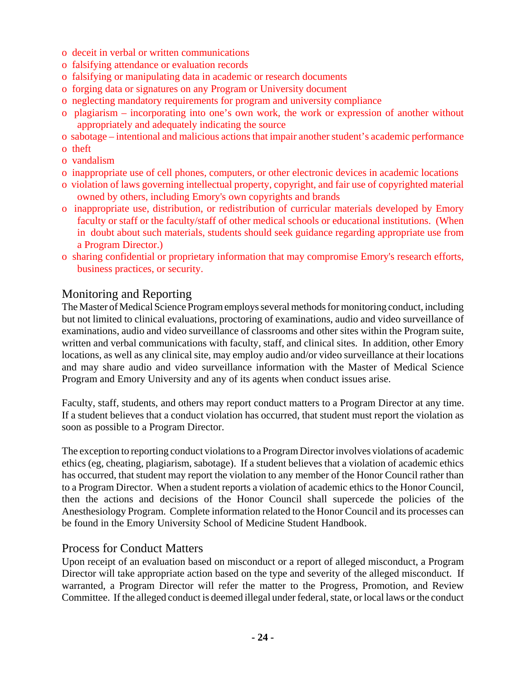- o deceit in verbal or written communications
- o falsifying attendance or evaluation records
- o falsifying or manipulating data in academic or research documents
- o forging data or signatures on any Program or University document
- o neglecting mandatory requirements for program and university compliance
- o plagiarism incorporating into one's own work, the work or expression of another without appropriately and adequately indicating the source
- o sabotage intentional and malicious actions that impair another student's academic performance
- o theft
- o vandalism
- o inappropriate use of cell phones, computers, or other electronic devices in academic locations
- o violation of laws governing intellectual property, copyright, and fair use of copyrighted material owned by others, including Emory's own copyrights and brands
- o inappropriate use, distribution, or redistribution of curricular materials developed by Emory faculty or staff or the faculty/staff of other medical schools or educational institutions. (When in doubt about such materials, students should seek guidance regarding appropriate use from a Program Director.)
- o sharing confidential or proprietary information that may compromise Emory's research efforts, business practices, or security.

### Monitoring and Reporting

The Master of Medical Science Program employs several methods for monitoring conduct, including but not limited to clinical evaluations, proctoring of examinations, audio and video surveillance of examinations, audio and video surveillance of classrooms and other sites within the Program suite, written and verbal communications with faculty, staff, and clinical sites. In addition, other Emory locations, as well as any clinical site, may employ audio and/or video surveillance at their locations and may share audio and video surveillance information with the Master of Medical Science Program and Emory University and any of its agents when conduct issues arise.

Faculty, staff, students, and others may report conduct matters to a Program Director at any time. If a student believes that a conduct violation has occurred, that student must report the violation as soon as possible to a Program Director.

The exception to reporting conduct violations to a Program Director involves violations of academic ethics (eg, cheating, plagiarism, sabotage). If a student believes that a violation of academic ethics has occurred, that student may report the violation to any member of the Honor Council rather than to a Program Director. When a student reports a violation of academic ethics to the Honor Council, then the actions and decisions of the Honor Council shall supercede the policies of the Anesthesiology Program. Complete information related to the Honor Council and its processes can be found in the Emory University School of Medicine Student Handbook.

#### Process for Conduct Matters

Upon receipt of an evaluation based on misconduct or a report of alleged misconduct, a Program Director will take appropriate action based on the type and severity of the alleged misconduct. If warranted, a Program Director will refer the matter to the Progress, Promotion, and Review Committee. If the alleged conduct is deemed illegal under federal, state, or local laws or the conduct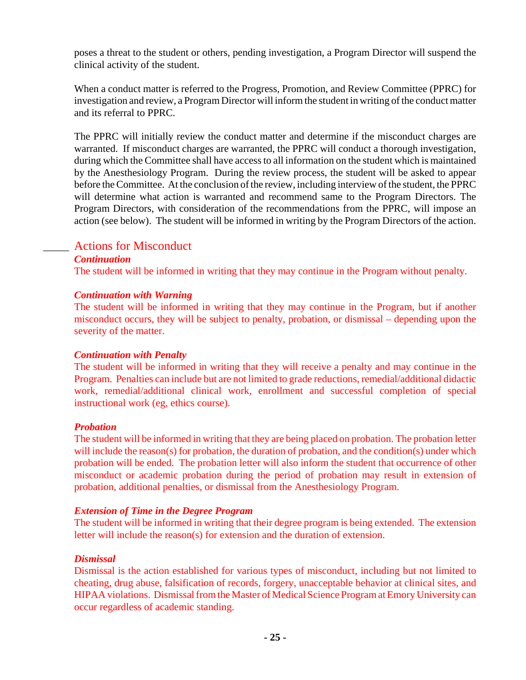poses a threat to the student or others, pending investigation, a Program Director will suspend the clinical activity of the student.

When a conduct matter is referred to the Progress, Promotion, and Review Committee (PPRC) for investigation and review, a Program Director will inform the student in writing of the conduct matter and its referral to PPRC.

The PPRC will initially review the conduct matter and determine if the misconduct charges are warranted. If misconduct charges are warranted, the PPRC will conduct a thorough investigation, during which the Committee shall have access to all information on the student which is maintained by the Anesthesiology Program. During the review process, the student will be asked to appear before the Committee. At the conclusion of the review, including interview of the student, the PPRC will determine what action is warranted and recommend same to the Program Directors. The Program Directors, with consideration of the recommendations from the PPRC, will impose an action (see below). The student will be informed in writing by the Program Directors of the action.

### \_\_\_\_\_ Actions for Misconduct

#### *Continuation*

The student will be informed in writing that they may continue in the Program without penalty.

#### *Continuation with Warning*

The student will be informed in writing that they may continue in the Program, but if another misconduct occurs, they will be subject to penalty, probation, or dismissal – depending upon the severity of the matter.

#### *Continuation with Penalty*

The student will be informed in writing that they will receive a penalty and may continue in the Program. Penalties can include but are not limited to grade reductions, remedial/additional didactic work, remedial/additional clinical work, enrollment and successful completion of special instructional work (eg, ethics course).

#### *Probation*

The student will be informed in writing that they are being placed on probation. The probation letter will include the reason(s) for probation, the duration of probation, and the condition(s) under which probation will be ended. The probation letter will also inform the student that occurrence of other misconduct or academic probation during the period of probation may result in extension of probation, additional penalties, or dismissal from the Anesthesiology Program.

#### *Extension of Time in the Degree Program*

The student will be informed in writing that their degree program is being extended. The extension letter will include the reason(s) for extension and the duration of extension.

#### *Dismissal*

Dismissal is the action established for various types of misconduct, including but not limited to cheating, drug abuse, falsification of records, forgery, unacceptable behavior at clinical sites, and HIPAA violations. Dismissal from the Master of Medical Science Program at Emory University can occur regardless of academic standing.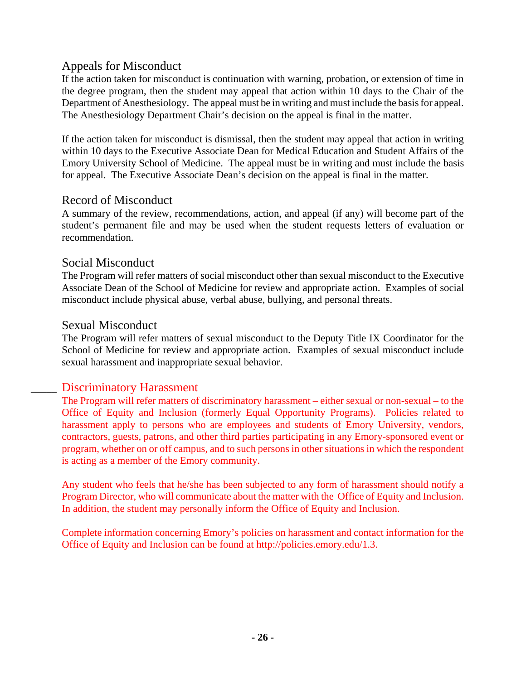### Appeals for Misconduct

If the action taken for misconduct is continuation with warning, probation, or extension of time in the degree program, then the student may appeal that action within 10 days to the Chair of the Department of Anesthesiology. The appeal must be in writing and must include the basis for appeal. The Anesthesiology Department Chair's decision on the appeal is final in the matter.

If the action taken for misconduct is dismissal, then the student may appeal that action in writing within 10 days to the Executive Associate Dean for Medical Education and Student Affairs of the Emory University School of Medicine. The appeal must be in writing and must include the basis for appeal. The Executive Associate Dean's decision on the appeal is final in the matter.

### Record of Misconduct

A summary of the review, recommendations, action, and appeal (if any) will become part of the student's permanent file and may be used when the student requests letters of evaluation or recommendation.

### Social Misconduct

The Program will refer matters of social misconduct other than sexual misconduct to the Executive Associate Dean of the School of Medicine for review and appropriate action. Examples of social misconduct include physical abuse, verbal abuse, bullying, and personal threats.

### Sexual Misconduct

The Program will refer matters of sexual misconduct to the Deputy Title IX Coordinator for the School of Medicine for review and appropriate action. Examples of sexual misconduct include sexual harassment and inappropriate sexual behavior.

### Discriminatory Harassment

The Program will refer matters of discriminatory harassment – either sexual or non-sexual – to the Office of Equity and Inclusion (formerly Equal Opportunity Programs). Policies related to harassment apply to persons who are employees and students of Emory University, vendors, contractors, guests, patrons, and other third parties participating in any Emory-sponsored event or program, whether on or off campus, and to such persons in other situations in which the respondent is acting as a member of the Emory community.

Any student who feels that he/she has been subjected to any form of harassment should notify a Program Director, who will communicate about the matter with the Office of Equity and Inclusion. In addition, the student may personally inform the Office of Equity and Inclusion.

Complete information concerning Emory's policies on harassment and contact information for the Office of Equity and Inclusion can be found at http://policies.emory.edu/1.3.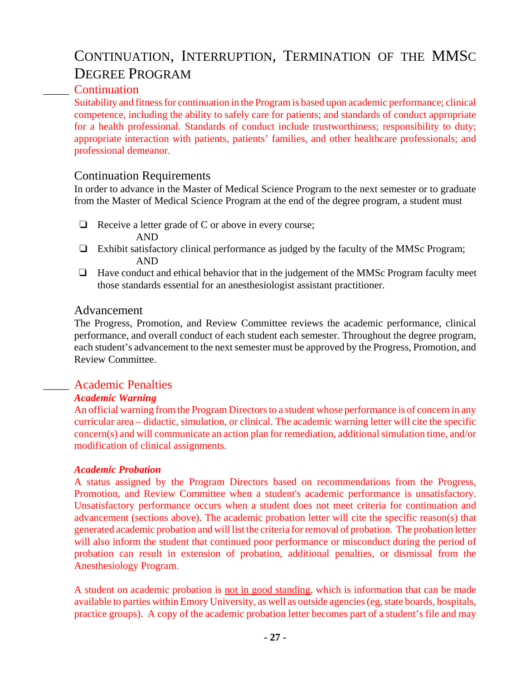# CONTINUATION, INTERRUPTION, TERMINATION OF THE MMSC DEGREE PROGRAM

### \_\_\_\_\_ Continuation

Suitability and fitness for continuation in the Program is based upon academic performance; clinical competence, including the ability to safely care for patients; and standards of conduct appropriate for a health professional. Standards of conduct include trustworthiness; responsibility to duty; appropriate interaction with patients, patients' families, and other healthcare professionals; and professional demeanor.

### Continuation Requirements

In order to advance in the Master of Medical Science Program to the next semester or to graduate from the Master of Medical Science Program at the end of the degree program, a student must

- $\Box$  Receive a letter grade of C or above in every course; AND
- $\Box$  Exhibit satisfactory clinical performance as judged by the faculty of the MMSc Program; AND
- $\Box$  Have conduct and ethical behavior that in the judgement of the MMSc Program faculty meet those standards essential for an anesthesiologist assistant practitioner.

#### Advancement

The Progress, Promotion, and Review Committee reviews the academic performance, clinical performance, and overall conduct of each student each semester. Throughout the degree program, each student's advancement to the next semester must be approved by the Progress, Promotion, and Review Committee.

### \_\_\_\_\_ Academic Penalties

#### *Academic Warning*

An official warning from the Program Directors to a student whose performance is of concern in any curricular area – didactic, simulation, or clinical. The academic warning letter will cite the specific concern(s) and will communicate an action plan for remediation, additional simulation time, and/or modification of clinical assignments.

#### *Academic Probation*

A status assigned by the Program Directors based on recommendations from the Progress, Promotion, and Review Committee when a student's academic performance is unsatisfactory. Unsatisfactory performance occurs when a student does not meet criteria for continuation and advancement (sections above). The academic probation letter will cite the specific reason(s) that generated academic probation and will list the criteria for removal of probation. The probation letter will also inform the student that continued poor performance or misconduct during the period of probation can result in extension of probation, additional penalties, or dismissal from the Anesthesiology Program.

A student on academic probation is not in good standing, which is information that can be made available to parties within Emory University, as well as outside agencies (eg, state boards, hospitals, practice groups). A copy of the academic probation letter becomes part of a student's file and may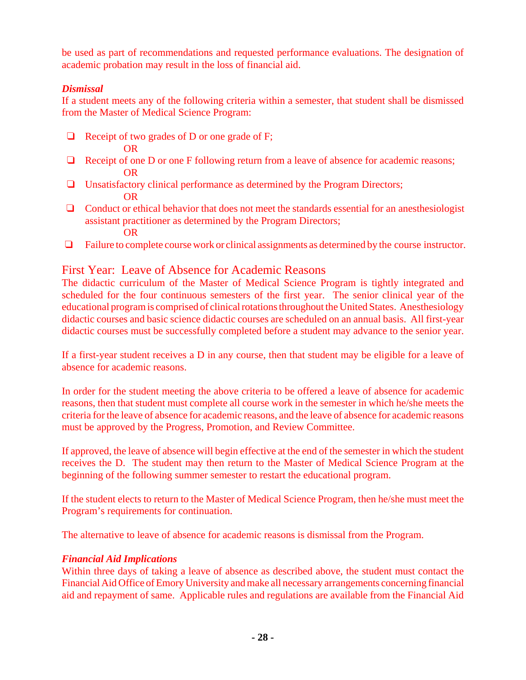be used as part of recommendations and requested performance evaluations. The designation of academic probation may result in the loss of financial aid.

### *Dismissal*

If a student meets any of the following criteria within a semester, that student shall be dismissed from the Master of Medical Science Program:

 $\Box$  Receipt of two grades of D or one grade of F;

OR

- $\Box$  Receipt of one D or one F following return from a leave of absence for academic reasons; OR
- $\Box$  Unsatisfactory clinical performance as determined by the Program Directors; OR
- $\Box$  Conduct or ethical behavior that does not meet the standards essential for an anesthesiologist assistant practitioner as determined by the Program Directors; OR
- $\Box$  Failure to complete course work or clinical assignments as determined by the course instructor.

### First Year: Leave of Absence for Academic Reasons

The didactic curriculum of the Master of Medical Science Program is tightly integrated and scheduled for the four continuous semesters of the first year. The senior clinical year of the educational program is comprised of clinical rotations throughout the United States. Anesthesiology didactic courses and basic science didactic courses are scheduled on an annual basis. All first-year didactic courses must be successfully completed before a student may advance to the senior year.

If a first-year student receives a D in any course, then that student may be eligible for a leave of absence for academic reasons.

In order for the student meeting the above criteria to be offered a leave of absence for academic reasons, then that student must complete all course work in the semester in which he/she meets the criteria for the leave of absence for academic reasons, and the leave of absence for academic reasons must be approved by the Progress, Promotion, and Review Committee.

If approved, the leave of absence will begin effective at the end of the semester in which the student receives the D. The student may then return to the Master of Medical Science Program at the beginning of the following summer semester to restart the educational program.

If the student elects to return to the Master of Medical Science Program, then he/she must meet the Program's requirements for continuation.

The alternative to leave of absence for academic reasons is dismissal from the Program.

### *Financial Aid Implications*

Within three days of taking a leave of absence as described above, the student must contact the Financial Aid Office of Emory University and make all necessary arrangements concerning financial aid and repayment of same. Applicable rules and regulations are available from the Financial Aid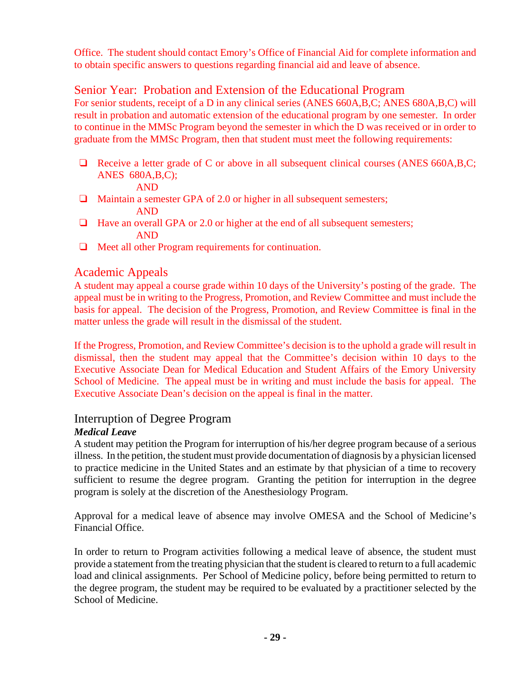Office. The student should contact Emory's Office of Financial Aid for complete information and to obtain specific answers to questions regarding financial aid and leave of absence.

### Senior Year: Probation and Extension of the Educational Program

For senior students, receipt of a D in any clinical series (ANES 660A,B,C; ANES 680A,B,C) will result in probation and automatic extension of the educational program by one semester. In order to continue in the MMSc Program beyond the semester in which the D was received or in order to graduate from the MMSc Program, then that student must meet the following requirements:

 $\Box$  Receive a letter grade of C or above in all subsequent clinical courses (ANES 660A, B, C; ANES 680A,B,C);

AND

- $\Box$  Maintain a semester GPA of 2.0 or higher in all subsequent semesters; AND
- $\Box$  Have an overall GPA or 2.0 or higher at the end of all subsequent semesters; AND
- $\Box$  Meet all other Program requirements for continuation.

### Academic Appeals

A student may appeal a course grade within 10 days of the University's posting of the grade. The appeal must be in writing to the Progress, Promotion, and Review Committee and must include the basis for appeal. The decision of the Progress, Promotion, and Review Committee is final in the matter unless the grade will result in the dismissal of the student.

If the Progress, Promotion, and Review Committee's decision is to the uphold a grade will result in dismissal, then the student may appeal that the Committee's decision within 10 days to the Executive Associate Dean for Medical Education and Student Affairs of the Emory University School of Medicine. The appeal must be in writing and must include the basis for appeal. The Executive Associate Dean's decision on the appeal is final in the matter.

### Interruption of Degree Program

#### *Medical Leave*

A student may petition the Program for interruption of his/her degree program because of a serious illness. In the petition, the student must provide documentation of diagnosis by a physician licensed to practice medicine in the United States and an estimate by that physician of a time to recovery sufficient to resume the degree program. Granting the petition for interruption in the degree program is solely at the discretion of the Anesthesiology Program.

Approval for a medical leave of absence may involve OMESA and the School of Medicine's Financial Office.

In order to return to Program activities following a medical leave of absence, the student must provide a statement from the treating physician that the student is cleared to return to a full academic load and clinical assignments. Per School of Medicine policy, before being permitted to return to the degree program, the student may be required to be evaluated by a practitioner selected by the School of Medicine.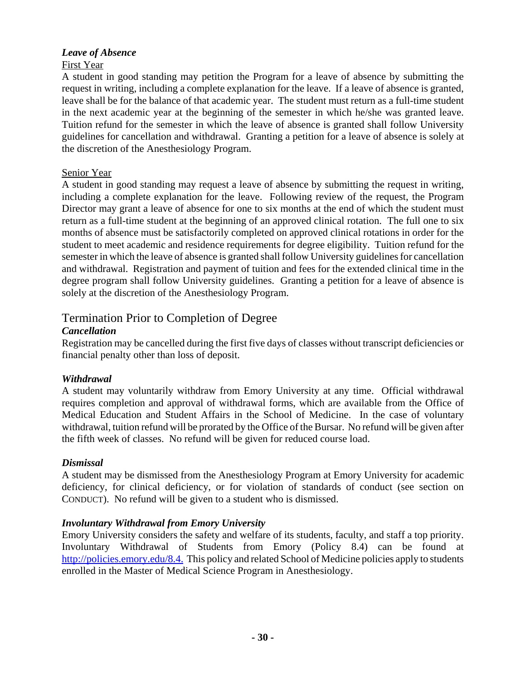### *Leave of Absence*

### First Year

A student in good standing may petition the Program for a leave of absence by submitting the request in writing, including a complete explanation for the leave. If a leave of absence is granted, leave shall be for the balance of that academic year. The student must return as a full-time student in the next academic year at the beginning of the semester in which he/she was granted leave. Tuition refund for the semester in which the leave of absence is granted shall follow University guidelines for cancellation and withdrawal. Granting a petition for a leave of absence is solely at the discretion of the Anesthesiology Program.

### Senior Year

A student in good standing may request a leave of absence by submitting the request in writing, including a complete explanation for the leave. Following review of the request, the Program Director may grant a leave of absence for one to six months at the end of which the student must return as a full-time student at the beginning of an approved clinical rotation. The full one to six months of absence must be satisfactorily completed on approved clinical rotations in order for the student to meet academic and residence requirements for degree eligibility. Tuition refund for the semester in which the leave of absence is granted shall follow University guidelines for cancellation and withdrawal. Registration and payment of tuition and fees for the extended clinical time in the degree program shall follow University guidelines. Granting a petition for a leave of absence is solely at the discretion of the Anesthesiology Program.

## Termination Prior to Completion of Degree

### *Cancellation*

Registration may be cancelled during the first five days of classes without transcript deficiencies or financial penalty other than loss of deposit.

### *Withdrawal*

A student may voluntarily withdraw from Emory University at any time. Official withdrawal requires completion and approval of withdrawal forms, which are available from the Office of Medical Education and Student Affairs in the School of Medicine. In the case of voluntary withdrawal, tuition refund will be prorated by the Office of the Bursar. No refund will be given after the fifth week of classes. No refund will be given for reduced course load.

#### *Dismissal*

A student may be dismissed from the Anesthesiology Program at Emory University for academic deficiency, for clinical deficiency, or for violation of standards of conduct (see section on CONDUCT). No refund will be given to a student who is dismissed.

### *Involuntary Withdrawal from Emory University*

Emory University considers the safety and welfare of its students, faculty, and staff a top priority. Involuntary Withdrawal of Students from Emory (Policy 8.4) can be found at http://policies.emory.edu/8.4. This policy and related School of Medicine policies apply to students enrolled in the Master of Medical Science Program in Anesthesiology.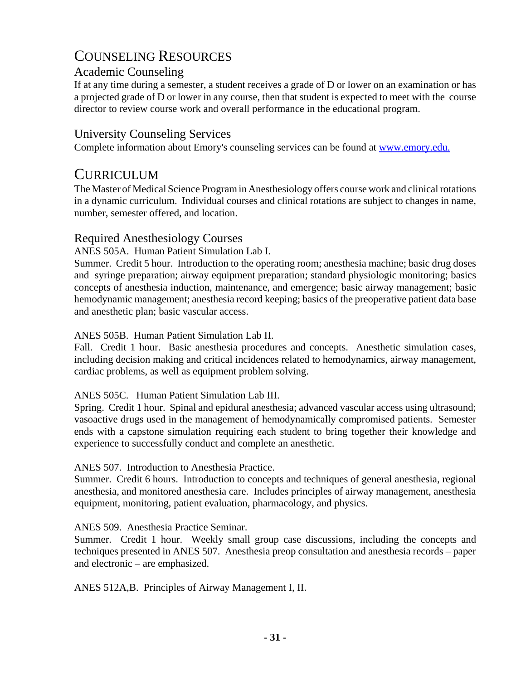## COUNSELING RESOURCES

### Academic Counseling

If at any time during a semester, a student receives a grade of D or lower on an examination or has a projected grade of D or lower in any course, then that student is expected to meet with the course director to review course work and overall performance in the educational program.

## University Counseling Services

Complete information about Emory's counseling services can be found at www.emory.edu.

## **CURRICULUM**

The Master of Medical Science Program in Anesthesiology offers course work and clinical rotations in a dynamic curriculum. Individual courses and clinical rotations are subject to changes in name, number, semester offered, and location.

### Required Anesthesiology Courses

### ANES 505A. Human Patient Simulation Lab I.

Summer. Credit 5 hour. Introduction to the operating room; anesthesia machine; basic drug doses and syringe preparation; airway equipment preparation; standard physiologic monitoring; basics concepts of anesthesia induction, maintenance, and emergence; basic airway management; basic hemodynamic management; anesthesia record keeping; basics of the preoperative patient data base and anesthetic plan; basic vascular access.

### ANES 505B. Human Patient Simulation Lab II.

Fall. Credit 1 hour. Basic anesthesia procedures and concepts. Anesthetic simulation cases, including decision making and critical incidences related to hemodynamics, airway management, cardiac problems, as well as equipment problem solving.

#### ANES 505C. Human Patient Simulation Lab III.

Spring. Credit 1 hour. Spinal and epidural anesthesia; advanced vascular access using ultrasound; vasoactive drugs used in the management of hemodynamically compromised patients. Semester ends with a capstone simulation requiring each student to bring together their knowledge and experience to successfully conduct and complete an anesthetic.

### ANES 507. Introduction to Anesthesia Practice.

Summer. Credit 6 hours. Introduction to concepts and techniques of general anesthesia, regional anesthesia, and monitored anesthesia care. Includes principles of airway management, anesthesia equipment, monitoring, patient evaluation, pharmacology, and physics.

### ANES 509. Anesthesia Practice Seminar.

Summer. Credit 1 hour. Weekly small group case discussions, including the concepts and techniques presented in ANES 507. Anesthesia preop consultation and anesthesia records – paper and electronic – are emphasized.

ANES 512A,B. Principles of Airway Management I, II.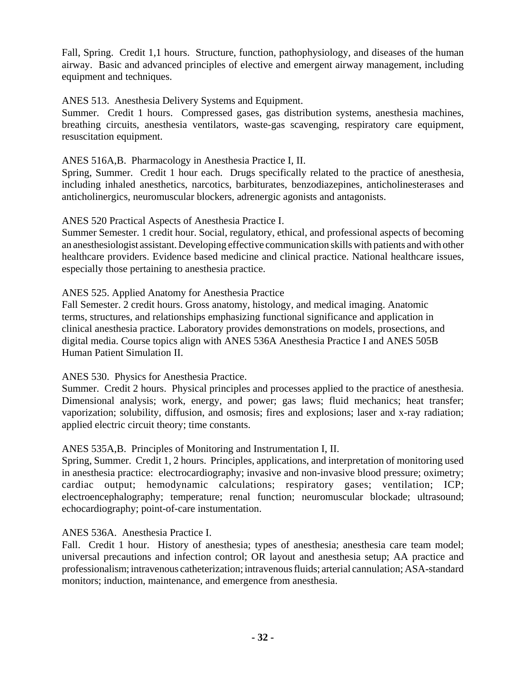Fall, Spring. Credit 1,1 hours. Structure, function, pathophysiology, and diseases of the human airway. Basic and advanced principles of elective and emergent airway management, including equipment and techniques.

ANES 513. Anesthesia Delivery Systems and Equipment.

Summer. Credit 1 hours. Compressed gases, gas distribution systems, anesthesia machines, breathing circuits, anesthesia ventilators, waste-gas scavenging, respiratory care equipment, resuscitation equipment.

#### ANES 516A,B. Pharmacology in Anesthesia Practice I, II.

Spring, Summer. Credit 1 hour each. Drugs specifically related to the practice of anesthesia, including inhaled anesthetics, narcotics, barbiturates, benzodiazepines, anticholinesterases and anticholinergics, neuromuscular blockers, adrenergic agonists and antagonists.

ANES 520 Practical Aspects of Anesthesia Practice I.

Summer Semester. 1 credit hour. Social, regulatory, ethical, and professional aspects of becoming an anesthesiologist assistant. Developing effective communication skills with patients and with other healthcare providers. Evidence based medicine and clinical practice. National healthcare issues, especially those pertaining to anesthesia practice.

#### ANES 525. Applied Anatomy for Anesthesia Practice

Fall Semester. 2 credit hours. Gross anatomy, histology, and medical imaging. Anatomic terms, structures, and relationships emphasizing functional significance and application in clinical anesthesia practice. Laboratory provides demonstrations on models, prosections, and digital media. Course topics align with ANES 536A Anesthesia Practice I and ANES 505B Human Patient Simulation II.

ANES 530. Physics for Anesthesia Practice.

Summer. Credit 2 hours. Physical principles and processes applied to the practice of anesthesia. Dimensional analysis; work, energy, and power; gas laws; fluid mechanics; heat transfer; vaporization; solubility, diffusion, and osmosis; fires and explosions; laser and x-ray radiation; applied electric circuit theory; time constants.

ANES 535A,B. Principles of Monitoring and Instrumentation I, II.

Spring, Summer. Credit 1, 2 hours. Principles, applications, and interpretation of monitoring used in anesthesia practice: electrocardiography; invasive and non-invasive blood pressure; oximetry; cardiac output; hemodynamic calculations; respiratory gases; ventilation; ICP; electroencephalography; temperature; renal function; neuromuscular blockade; ultrasound; echocardiography; point-of-care instumentation.

#### ANES 536A. Anesthesia Practice I.

Fall. Credit 1 hour. History of anesthesia; types of anesthesia; anesthesia care team model; universal precautions and infection control; OR layout and anesthesia setup; AA practice and professionalism; intravenous catheterization; intravenous fluids; arterial cannulation; ASA-standard monitors; induction, maintenance, and emergence from anesthesia.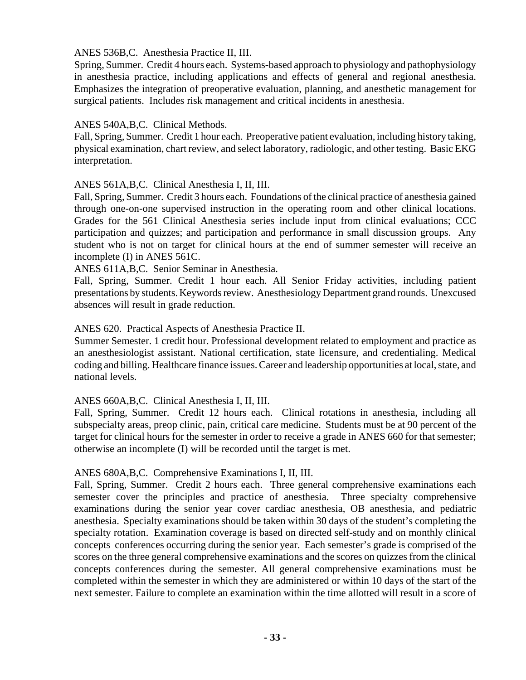ANES 536B,C. Anesthesia Practice II, III.

Spring, Summer. Credit 4 hours each. Systems-based approach to physiology and pathophysiology in anesthesia practice, including applications and effects of general and regional anesthesia. Emphasizes the integration of preoperative evaluation, planning, and anesthetic management for surgical patients. Includes risk management and critical incidents in anesthesia.

#### ANES 540A,B,C. Clinical Methods.

Fall, Spring, Summer. Credit 1 hour each. Preoperative patient evaluation, including history taking, physical examination, chart review, and select laboratory, radiologic, and other testing. Basic EKG interpretation.

#### ANES 561A,B,C. Clinical Anesthesia I, II, III.

Fall, Spring, Summer. Credit 3 hours each. Foundations of the clinical practice of anesthesia gained through one-on-one supervised instruction in the operating room and other clinical locations. Grades for the 561 Clinical Anesthesia series include input from clinical evaluations; CCC participation and quizzes; and participation and performance in small discussion groups. Any student who is not on target for clinical hours at the end of summer semester will receive an incomplete (I) in ANES 561C.

ANES 611A,B,C. Senior Seminar in Anesthesia.

Fall, Spring, Summer. Credit 1 hour each. All Senior Friday activities, including patient presentations by students. Keywords review. Anesthesiology Department grand rounds. Unexcused absences will result in grade reduction.

#### ANES 620. Practical Aspects of Anesthesia Practice II.

Summer Semester. 1 credit hour. Professional development related to employment and practice as an anesthesiologist assistant. National certification, state licensure, and credentialing. Medical coding and billing. Healthcare finance issues. Career and leadership opportunities at local, state, and national levels.

#### ANES 660A,B,C. Clinical Anesthesia I, II, III.

Fall, Spring, Summer. Credit 12 hours each. Clinical rotations in anesthesia, including all subspecialty areas, preop clinic, pain, critical care medicine. Students must be at 90 percent of the target for clinical hours for the semester in order to receive a grade in ANES 660 for that semester; otherwise an incomplete (I) will be recorded until the target is met.

#### ANES 680A,B,C. Comprehensive Examinations I, II, III.

Fall, Spring, Summer. Credit 2 hours each. Three general comprehensive examinations each semester cover the principles and practice of anesthesia. Three specialty comprehensive examinations during the senior year cover cardiac anesthesia, OB anesthesia, and pediatric anesthesia. Specialty examinations should be taken within 30 days of the student's completing the specialty rotation. Examination coverage is based on directed self-study and on monthly clinical concepts conferences occurring during the senior year. Each semester's grade is comprised of the scores on the three general comprehensive examinations and the scores on quizzes from the clinical concepts conferences during the semester. All general comprehensive examinations must be completed within the semester in which they are administered or within 10 days of the start of the next semester. Failure to complete an examination within the time allotted will result in a score of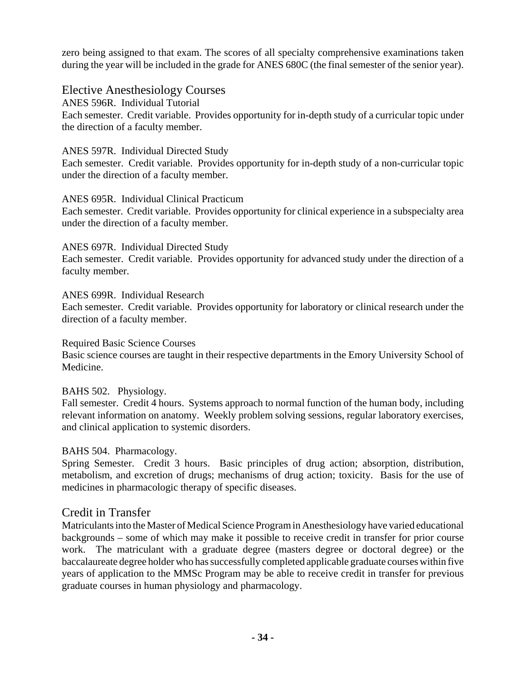zero being assigned to that exam. The scores of all specialty comprehensive examinations taken during the year will be included in the grade for ANES 680C (the final semester of the senior year).

Elective Anesthesiology Courses

ANES 596R. Individual Tutorial Each semester. Credit variable. Provides opportunity for in-depth study of a curricular topic under the direction of a faculty member.

### ANES 597R. Individual Directed Study

Each semester. Credit variable. Provides opportunity for in-depth study of a non-curricular topic under the direction of a faculty member.

#### ANES 695R. Individual Clinical Practicum

Each semester. Credit variable. Provides opportunity for clinical experience in a subspecialty area under the direction of a faculty member.

### ANES 697R. Individual Directed Study

Each semester. Credit variable. Provides opportunity for advanced study under the direction of a faculty member.

### ANES 699R. Individual Research

Each semester. Credit variable. Provides opportunity for laboratory or clinical research under the direction of a faculty member.

#### Required Basic Science Courses

Basic science courses are taught in their respective departments in the Emory University School of Medicine.

### BAHS 502. Physiology.

Fall semester. Credit 4 hours. Systems approach to normal function of the human body, including relevant information on anatomy. Weekly problem solving sessions, regular laboratory exercises, and clinical application to systemic disorders.

#### BAHS 504. Pharmacology.

Spring Semester. Credit 3 hours. Basic principles of drug action; absorption, distribution, metabolism, and excretion of drugs; mechanisms of drug action; toxicity. Basis for the use of medicines in pharmacologic therapy of specific diseases.

### Credit in Transfer

Matriculants into the Master of Medical Science Program in Anesthesiology have varied educational backgrounds – some of which may make it possible to receive credit in transfer for prior course work. The matriculant with a graduate degree (masters degree or doctoral degree) or the baccalaureate degree holder who has successfully completed applicable graduate courses within five years of application to the MMSc Program may be able to receive credit in transfer for previous graduate courses in human physiology and pharmacology.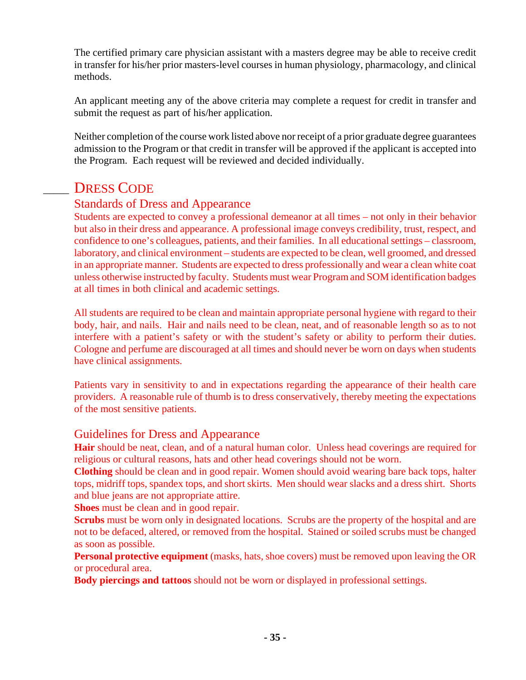The certified primary care physician assistant with a masters degree may be able to receive credit in transfer for his/her prior masters-level courses in human physiology, pharmacology, and clinical methods.

An applicant meeting any of the above criteria may complete a request for credit in transfer and submit the request as part of his/her application.

Neither completion of the course work listed above nor receipt of a prior graduate degree guarantees admission to the Program or that credit in transfer will be approved if the applicant is accepted into the Program. Each request will be reviewed and decided individually.

# DRESS CODE

## Standards of Dress and Appearance

Students are expected to convey a professional demeanor at all times – not only in their behavior but also in their dress and appearance. A professional image conveys credibility, trust, respect, and confidence to one's colleagues, patients, and their families. In all educational settings – classroom, laboratory, and clinical environment – students are expected to be clean, well groomed, and dressed in an appropriate manner. Students are expected to dress professionally and wear a clean white coat unless otherwise instructed by faculty. Students must wear Program and SOM identification badges at all times in both clinical and academic settings.

All students are required to be clean and maintain appropriate personal hygiene with regard to their body, hair, and nails. Hair and nails need to be clean, neat, and of reasonable length so as to not interfere with a patient's safety or with the student's safety or ability to perform their duties. Cologne and perfume are discouraged at all times and should never be worn on days when students have clinical assignments.

Patients vary in sensitivity to and in expectations regarding the appearance of their health care providers. A reasonable rule of thumb is to dress conservatively, thereby meeting the expectations of the most sensitive patients.

### Guidelines for Dress and Appearance

**Hair** should be neat, clean, and of a natural human color. Unless head coverings are required for religious or cultural reasons, hats and other head coverings should not be worn.

**Clothing** should be clean and in good repair. Women should avoid wearing bare back tops, halter tops, midriff tops, spandex tops, and short skirts. Men should wear slacks and a dress shirt. Shorts and blue jeans are not appropriate attire.

**Shoes** must be clean and in good repair.

**Scrubs** must be worn only in designated locations. Scrubs are the property of the hospital and are not to be defaced, altered, or removed from the hospital. Stained or soiled scrubs must be changed as soon as possible.

**Personal protective equipment** (masks, hats, shoe covers) must be removed upon leaving the OR or procedural area.

**Body piercings and tattoos** should not be worn or displayed in professional settings.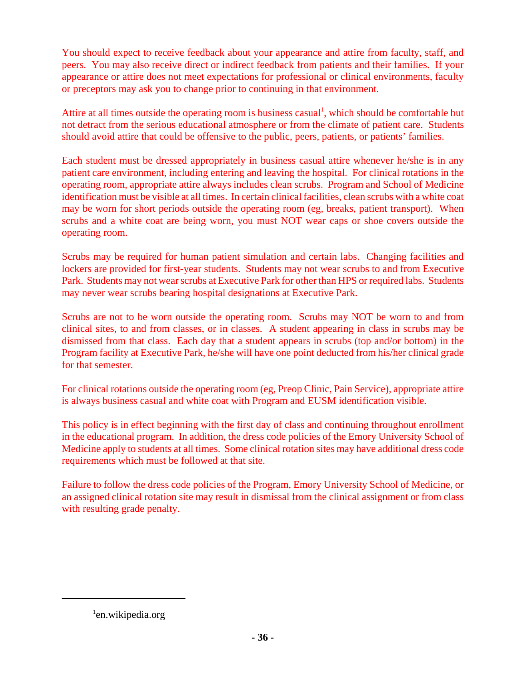You should expect to receive feedback about your appearance and attire from faculty, staff, and peers. You may also receive direct or indirect feedback from patients and their families. If your appearance or attire does not meet expectations for professional or clinical environments, faculty or preceptors may ask you to change prior to continuing in that environment.

Attire at all times outside the operating room is business casual<sup>1</sup>, which should be comfortable but not detract from the serious educational atmosphere or from the climate of patient care. Students should avoid attire that could be offensive to the public, peers, patients, or patients' families.

Each student must be dressed appropriately in business casual attire whenever he/she is in any patient care environment, including entering and leaving the hospital. For clinical rotations in the operating room, appropriate attire always includes clean scrubs. Program and School of Medicine identification must be visible at all times. In certain clinical facilities, clean scrubs with a white coat may be worn for short periods outside the operating room (eg, breaks, patient transport). When scrubs and a white coat are being worn, you must NOT wear caps or shoe covers outside the operating room.

Scrubs may be required for human patient simulation and certain labs. Changing facilities and lockers are provided for first-year students. Students may not wear scrubs to and from Executive Park. Students may not wear scrubs at Executive Park for other than HPS or required labs. Students may never wear scrubs bearing hospital designations at Executive Park.

Scrubs are not to be worn outside the operating room. Scrubs may NOT be worn to and from clinical sites, to and from classes, or in classes. A student appearing in class in scrubs may be dismissed from that class. Each day that a student appears in scrubs (top and/or bottom) in the Program facility at Executive Park, he/she will have one point deducted from his/her clinical grade for that semester.

For clinical rotations outside the operating room (eg, Preop Clinic, Pain Service), appropriate attire is always business casual and white coat with Program and EUSM identification visible.

This policy is in effect beginning with the first day of class and continuing throughout enrollment in the educational program. In addition, the dress code policies of the Emory University School of Medicine apply to students at all times. Some clinical rotation sites may have additional dress code requirements which must be followed at that site.

Failure to follow the dress code policies of the Program, Emory University School of Medicine, or an assigned clinical rotation site may result in dismissal from the clinical assignment or from class with resulting grade penalty.

<sup>&</sup>lt;sup>1</sup>en.wikipedia.org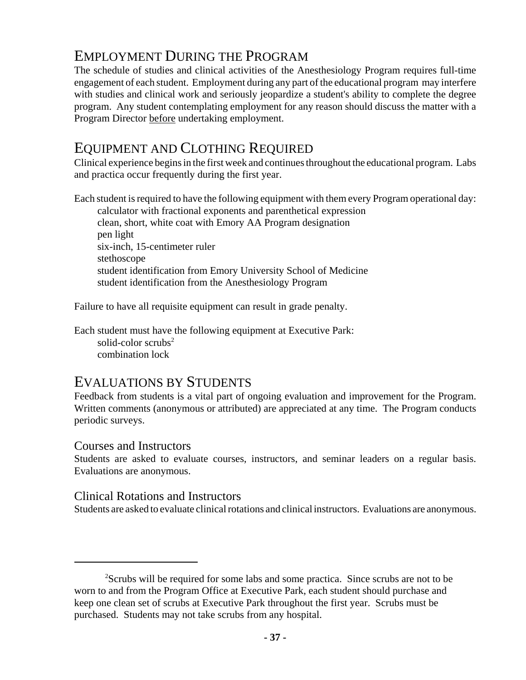# EMPLOYMENT DURING THE PROGRAM

The schedule of studies and clinical activities of the Anesthesiology Program requires full-time engagement of each student. Employment during any part of the educational program may interfere with studies and clinical work and seriously jeopardize a student's ability to complete the degree program. Any student contemplating employment for any reason should discuss the matter with a Program Director before undertaking employment.

## EQUIPMENT AND CLOTHING REQUIRED

Clinical experience begins in the first week and continues throughout the educational program. Labs and practica occur frequently during the first year.

Each student is required to have the following equipment with them every Program operational day: calculator with fractional exponents and parenthetical expression clean, short, white coat with Emory AA Program designation pen light six-inch, 15-centimeter ruler stethoscope student identification from Emory University School of Medicine student identification from the Anesthesiology Program

Failure to have all requisite equipment can result in grade penalty.

Each student must have the following equipment at Executive Park: solid-color scrubs $2$ combination lock

## EVALUATIONS BY STUDENTS

Feedback from students is a vital part of ongoing evaluation and improvement for the Program. Written comments (anonymous or attributed) are appreciated at any time. The Program conducts periodic surveys.

### Courses and Instructors

Students are asked to evaluate courses, instructors, and seminar leaders on a regular basis. Evaluations are anonymous.

### Clinical Rotations and Instructors

Students are asked to evaluate clinical rotations and clinical instructors. Evaluations are anonymous.

<sup>&</sup>lt;sup>2</sup>Scrubs will be required for some labs and some practica. Since scrubs are not to be worn to and from the Program Office at Executive Park, each student should purchase and keep one clean set of scrubs at Executive Park throughout the first year. Scrubs must be purchased. Students may not take scrubs from any hospital.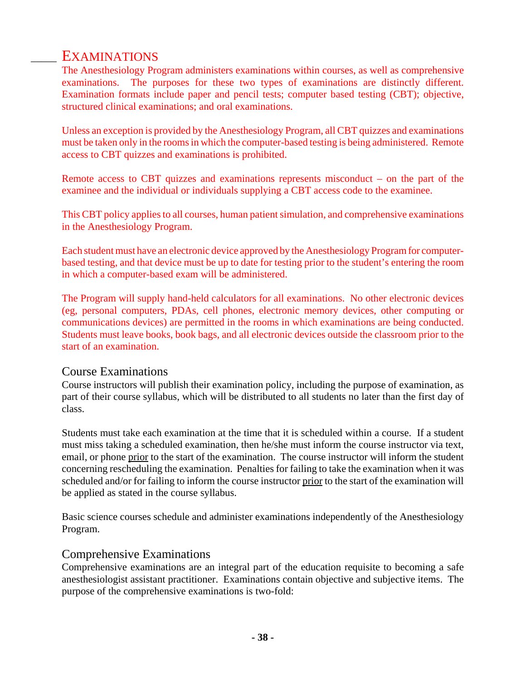## EXAMINATIONS

The Anesthesiology Program administers examinations within courses, as well as comprehensive examinations. The purposes for these two types of examinations are distinctly different. Examination formats include paper and pencil tests; computer based testing (CBT); objective, structured clinical examinations; and oral examinations.

Unless an exception is provided by the Anesthesiology Program, all CBT quizzes and examinations must be taken only in the rooms in which the computer-based testing is being administered. Remote access to CBT quizzes and examinations is prohibited.

Remote access to CBT quizzes and examinations represents misconduct – on the part of the examinee and the individual or individuals supplying a CBT access code to the examinee.

This CBT policy applies to all courses, human patient simulation, and comprehensive examinations in the Anesthesiology Program.

Each student must have an electronic device approved by the Anesthesiology Program for computerbased testing, and that device must be up to date for testing prior to the student's entering the room in which a computer-based exam will be administered.

The Program will supply hand-held calculators for all examinations. No other electronic devices (eg, personal computers, PDAs, cell phones, electronic memory devices, other computing or communications devices) are permitted in the rooms in which examinations are being conducted. Students must leave books, book bags, and all electronic devices outside the classroom prior to the start of an examination.

### Course Examinations

Course instructors will publish their examination policy, including the purpose of examination, as part of their course syllabus, which will be distributed to all students no later than the first day of class.

Students must take each examination at the time that it is scheduled within a course. If a student must miss taking a scheduled examination, then he/she must inform the course instructor via text, email, or phone prior to the start of the examination. The course instructor will inform the student concerning rescheduling the examination. Penalties for failing to take the examination when it was scheduled and/or for failing to inform the course instructor prior to the start of the examination will be applied as stated in the course syllabus.

Basic science courses schedule and administer examinations independently of the Anesthesiology Program.

### Comprehensive Examinations

Comprehensive examinations are an integral part of the education requisite to becoming a safe anesthesiologist assistant practitioner. Examinations contain objective and subjective items. The purpose of the comprehensive examinations is two-fold: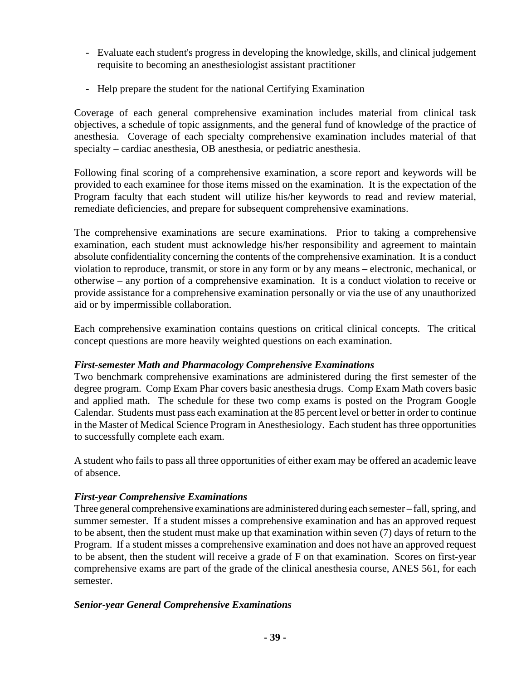- Evaluate each student's progress in developing the knowledge, skills, and clinical judgement requisite to becoming an anesthesiologist assistant practitioner
- Help prepare the student for the national Certifying Examination

Coverage of each general comprehensive examination includes material from clinical task objectives, a schedule of topic assignments, and the general fund of knowledge of the practice of anesthesia. Coverage of each specialty comprehensive examination includes material of that specialty – cardiac anesthesia, OB anesthesia, or pediatric anesthesia.

Following final scoring of a comprehensive examination, a score report and keywords will be provided to each examinee for those items missed on the examination. It is the expectation of the Program faculty that each student will utilize his/her keywords to read and review material, remediate deficiencies, and prepare for subsequent comprehensive examinations.

The comprehensive examinations are secure examinations. Prior to taking a comprehensive examination, each student must acknowledge his/her responsibility and agreement to maintain absolute confidentiality concerning the contents of the comprehensive examination. It is a conduct violation to reproduce, transmit, or store in any form or by any means – electronic, mechanical, or otherwise – any portion of a comprehensive examination. It is a conduct violation to receive or provide assistance for a comprehensive examination personally or via the use of any unauthorized aid or by impermissible collaboration.

Each comprehensive examination contains questions on critical clinical concepts. The critical concept questions are more heavily weighted questions on each examination.

#### *First-semester Math and Pharmacology Comprehensive Examinations*

Two benchmark comprehensive examinations are administered during the first semester of the degree program. Comp Exam Phar covers basic anesthesia drugs. Comp Exam Math covers basic and applied math. The schedule for these two comp exams is posted on the Program Google Calendar. Students must pass each examination at the 85 percent level or better in order to continue in the Master of Medical Science Program in Anesthesiology. Each student has three opportunities to successfully complete each exam.

A student who fails to pass all three opportunities of either exam may be offered an academic leave of absence.

#### *First-year Comprehensive Examinations*

Three general comprehensive examinations are administered during each semester – fall, spring, and summer semester. If a student misses a comprehensive examination and has an approved request to be absent, then the student must make up that examination within seven (7) days of return to the Program. If a student misses a comprehensive examination and does not have an approved request to be absent, then the student will receive a grade of F on that examination. Scores on first-year comprehensive exams are part of the grade of the clinical anesthesia course, ANES 561, for each semester.

#### *Senior-year General Comprehensive Examinations*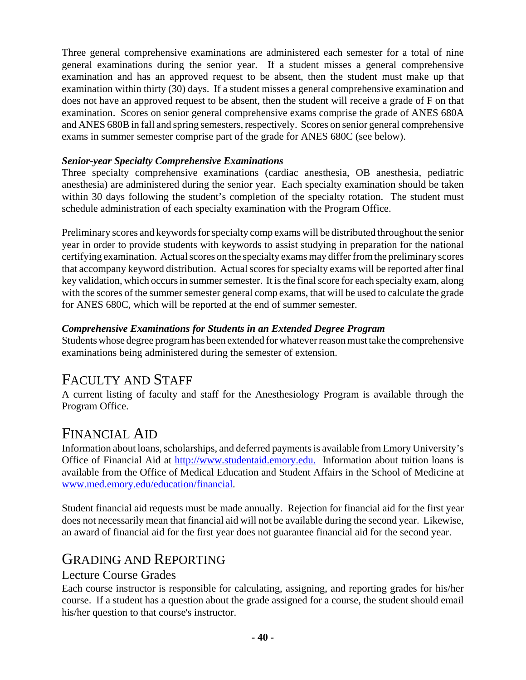Three general comprehensive examinations are administered each semester for a total of nine general examinations during the senior year. If a student misses a general comprehensive examination and has an approved request to be absent, then the student must make up that examination within thirty (30) days. If a student misses a general comprehensive examination and does not have an approved request to be absent, then the student will receive a grade of F on that examination. Scores on senior general comprehensive exams comprise the grade of ANES 680A and ANES 680B in fall and spring semesters, respectively. Scores on senior general comprehensive exams in summer semester comprise part of the grade for ANES 680C (see below).

### *Senior-year Specialty Comprehensive Examinations*

Three specialty comprehensive examinations (cardiac anesthesia, OB anesthesia, pediatric anesthesia) are administered during the senior year. Each specialty examination should be taken within 30 days following the student's completion of the specialty rotation. The student must schedule administration of each specialty examination with the Program Office.

Preliminary scores and keywords for specialty comp exams will be distributed throughout the senior year in order to provide students with keywords to assist studying in preparation for the national certifying examination. Actual scores on the specialty exams may differ from the preliminary scores that accompany keyword distribution. Actual scores for specialty exams will be reported after final key validation, which occurs in summer semester. It is the final score for each specialty exam, along with the scores of the summer semester general comp exams, that will be used to calculate the grade for ANES 680C, which will be reported at the end of summer semester.

### *Comprehensive Examinations for Students in an Extended Degree Program*

Students whose degree program has been extended for whatever reason must take the comprehensive examinations being administered during the semester of extension.

## FACULTY AND STAFF

A current listing of faculty and staff for the Anesthesiology Program is available through the Program Office.

## FINANCIAL AID

Information about loans, scholarships, and deferred payments is available from Emory University's Office of Financial Aid at http://www.studentaid.emory.edu. Information about tuition loans is available from the Office of Medical Education and Student Affairs in the School of Medicine at www.med.emory.edu/education/financial.

Student financial aid requests must be made annually. Rejection for financial aid for the first year does not necessarily mean that financial aid will not be available during the second year. Likewise, an award of financial aid for the first year does not guarantee financial aid for the second year.

## GRADING AND REPORTING

### Lecture Course Grades

Each course instructor is responsible for calculating, assigning, and reporting grades for his/her course. If a student has a question about the grade assigned for a course, the student should email his/her question to that course's instructor.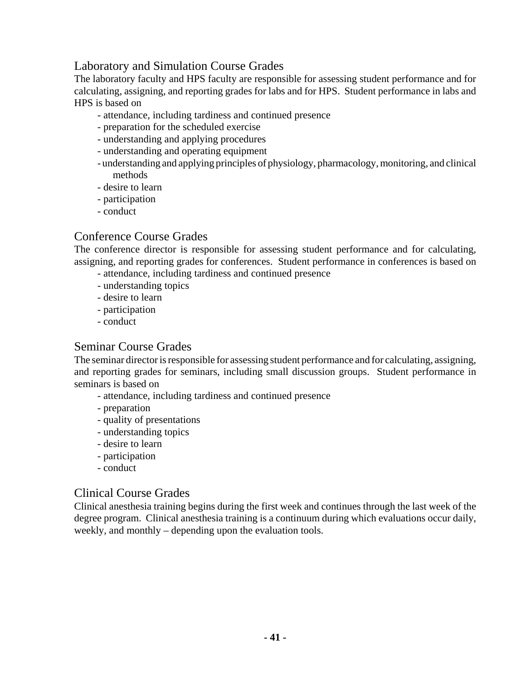### Laboratory and Simulation Course Grades

The laboratory faculty and HPS faculty are responsible for assessing student performance and for calculating, assigning, and reporting grades for labs and for HPS. Student performance in labs and HPS is based on

- attendance, including tardiness and continued presence
- preparation for the scheduled exercise
- understanding and applying procedures
- understanding and operating equipment
- understanding and applying principles of physiology, pharmacology, monitoring, and clinical methods
- desire to learn
- participation
- conduct

### Conference Course Grades

The conference director is responsible for assessing student performance and for calculating, assigning, and reporting grades for conferences. Student performance in conferences is based on

- attendance, including tardiness and continued presence
- understanding topics
- desire to learn
- participation
- conduct

### Seminar Course Grades

The seminar director is responsible for assessing student performance and for calculating, assigning, and reporting grades for seminars, including small discussion groups. Student performance in seminars is based on

- attendance, including tardiness and continued presence
- preparation
- quality of presentations
- understanding topics
- desire to learn
- participation
- conduct

#### Clinical Course Grades

Clinical anesthesia training begins during the first week and continues through the last week of the degree program. Clinical anesthesia training is a continuum during which evaluations occur daily, weekly, and monthly – depending upon the evaluation tools.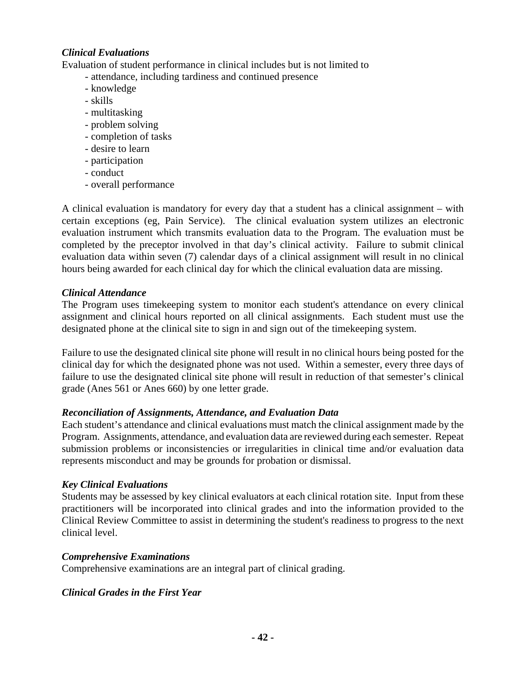### *Clinical Evaluations*

Evaluation of student performance in clinical includes but is not limited to

- attendance, including tardiness and continued presence
- knowledge
- skills
- multitasking
- problem solving
- completion of tasks
- desire to learn
- participation
- conduct
- overall performance

A clinical evaluation is mandatory for every day that a student has a clinical assignment – with certain exceptions (eg, Pain Service). The clinical evaluation system utilizes an electronic evaluation instrument which transmits evaluation data to the Program. The evaluation must be completed by the preceptor involved in that day's clinical activity. Failure to submit clinical evaluation data within seven (7) calendar days of a clinical assignment will result in no clinical hours being awarded for each clinical day for which the clinical evaluation data are missing.

#### *Clinical Attendance*

The Program uses timekeeping system to monitor each student's attendance on every clinical assignment and clinical hours reported on all clinical assignments. Each student must use the designated phone at the clinical site to sign in and sign out of the timekeeping system.

Failure to use the designated clinical site phone will result in no clinical hours being posted for the clinical day for which the designated phone was not used. Within a semester, every three days of failure to use the designated clinical site phone will result in reduction of that semester's clinical grade (Anes 561 or Anes 660) by one letter grade.

#### *Reconciliation of Assignments, Attendance, and Evaluation Data*

Each student's attendance and clinical evaluations must match the clinical assignment made by the Program. Assignments, attendance, and evaluation data are reviewed during each semester. Repeat submission problems or inconsistencies or irregularities in clinical time and/or evaluation data represents misconduct and may be grounds for probation or dismissal.

#### *Key Clinical Evaluations*

Students may be assessed by key clinical evaluators at each clinical rotation site. Input from these practitioners will be incorporated into clinical grades and into the information provided to the Clinical Review Committee to assist in determining the student's readiness to progress to the next clinical level.

#### *Comprehensive Examinations*

Comprehensive examinations are an integral part of clinical grading.

### *Clinical Grades in the First Year*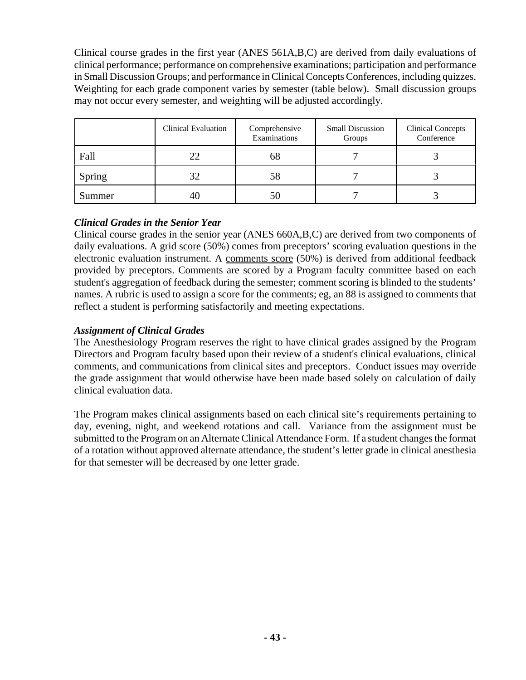Clinical course grades in the first year (ANES 561A,B,C) are derived from daily evaluations of clinical performance; performance on comprehensive examinations; participation and performance in Small Discussion Groups; and performance in Clinical Concepts Conferences, including quizzes. Weighting for each grade component varies by semester (table below). Small discussion groups may not occur every semester, and weighting will be adjusted accordingly.

|        | Clinical Evaluation | Comprehensive<br>Examinations | <b>Small Discussion</b><br>Groups | <b>Clinical Concepts</b><br>Conference |
|--------|---------------------|-------------------------------|-----------------------------------|----------------------------------------|
| Fall   | 22                  | 68                            |                                   |                                        |
| Spring | 32                  | 58                            |                                   |                                        |
| Summer | 40                  |                               |                                   |                                        |

### *Clinical Grades in the Senior Year*

Clinical course grades in the senior year (ANES 660A,B,C) are derived from two components of daily evaluations. A grid score (50%) comes from preceptors' scoring evaluation questions in the electronic evaluation instrument. A comments score (50%) is derived from additional feedback provided by preceptors. Comments are scored by a Program faculty committee based on each student's aggregation of feedback during the semester; comment scoring is blinded to the students' names. A rubric is used to assign a score for the comments; eg, an 88 is assigned to comments that reflect a student is performing satisfactorily and meeting expectations.

### *Assignment of Clinical Grades*

The Anesthesiology Program reserves the right to have clinical grades assigned by the Program Directors and Program faculty based upon their review of a student's clinical evaluations, clinical comments, and communications from clinical sites and preceptors. Conduct issues may override the grade assignment that would otherwise have been made based solely on calculation of daily clinical evaluation data.

The Program makes clinical assignments based on each clinical site's requirements pertaining to day, evening, night, and weekend rotations and call. Variance from the assignment must be submitted to the Program on an Alternate Clinical Attendance Form. If a student changes the format of a rotation without approved alternate attendance, the student's letter grade in clinical anesthesia for that semester will be decreased by one letter grade.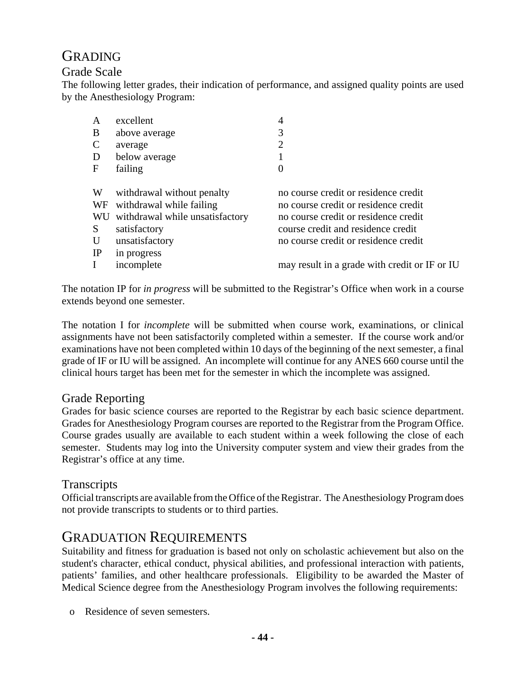## GRADING

### Grade Scale

The following letter grades, their indication of performance, and assigned quality points are used by the Anesthesiology Program:

| A             | excellent                       | 4                                             |
|---------------|---------------------------------|-----------------------------------------------|
| B             | above average                   | 3                                             |
| $\mathcal{C}$ | average                         | $\overline{2}$                                |
| D             | below average                   |                                               |
| F             | failing                         | $\theta$                                      |
|               |                                 |                                               |
| W             | withdrawal without penalty      | no course credit or residence credit          |
| WF            | withdrawal while failing        | no course credit or residence credit          |
| WU            | withdrawal while unsatisfactory | no course credit or residence credit          |
| S             | satisfactory                    | course credit and residence credit            |
| U             | unsatisfactory                  | no course credit or residence credit          |
| IP            | in progress                     |                                               |
|               | incomplete                      | may result in a grade with credit or IF or IU |
|               |                                 |                                               |

The notation IP for *in progress* will be submitted to the Registrar's Office when work in a course extends beyond one semester.

The notation I for *incomplete* will be submitted when course work, examinations, or clinical assignments have not been satisfactorily completed within a semester. If the course work and/or examinations have not been completed within 10 days of the beginning of the next semester, a final grade of IF or IU will be assigned. An incomplete will continue for any ANES 660 course until the clinical hours target has been met for the semester in which the incomplete was assigned.

### Grade Reporting

Grades for basic science courses are reported to the Registrar by each basic science department. Grades for Anesthesiology Program courses are reported to the Registrar from the Program Office. Course grades usually are available to each student within a week following the close of each semester. Students may log into the University computer system and view their grades from the Registrar's office at any time.

#### Transcripts

Official transcripts are available from the Office of the Registrar. The Anesthesiology Program does not provide transcripts to students or to third parties.

## GRADUATION REQUIREMENTS

Suitability and fitness for graduation is based not only on scholastic achievement but also on the student's character, ethical conduct, physical abilities, and professional interaction with patients, patients' families, and other healthcare professionals. Eligibility to be awarded the Master of Medical Science degree from the Anesthesiology Program involves the following requirements:

o Residence of seven semesters.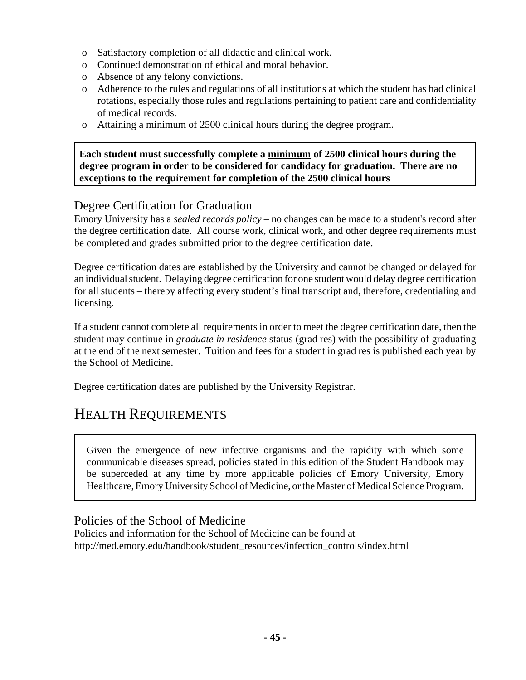- o Satisfactory completion of all didactic and clinical work.
- o Continued demonstration of ethical and moral behavior.
- o Absence of any felony convictions.
- o Adherence to the rules and regulations of all institutions at which the student has had clinical rotations, especially those rules and regulations pertaining to patient care and confidentiality of medical records.
- o Attaining a minimum of 2500 clinical hours during the degree program.

**Each student must successfully complete a minimum of 2500 clinical hours during the degree program in order to be considered for candidacy for graduation. There are no exceptions to the requirement for completion of the 2500 clinical hours**

## Degree Certification for Graduation

Emory University has a *sealed records policy* – no changes can be made to a student's record after the degree certification date. All course work, clinical work, and other degree requirements must be completed and grades submitted prior to the degree certification date.

Degree certification dates are established by the University and cannot be changed or delayed for an individual student. Delaying degree certification for one student would delay degree certification for all students – thereby affecting every student's final transcript and, therefore, credentialing and licensing.

If a student cannot complete all requirements in order to meet the degree certification date, then the student may continue in *graduate in residence* status (grad res) with the possibility of graduating at the end of the next semester. Tuition and fees for a student in grad res is published each year by the School of Medicine.

Degree certification dates are published by the University Registrar.

# HEALTH REQUIREMENTS

Given the emergence of new infective organisms and the rapidity with which some communicable diseases spread, policies stated in this edition of the Student Handbook may be superceded at any time by more applicable policies of Emory University, Emory Healthcare, Emory University School of Medicine, or the Master of Medical Science Program.

Policies of the School of Medicine

Policies and information for the School of Medicine can be found at http://med.emory.edu/handbook/student\_resources/infection\_controls/index.html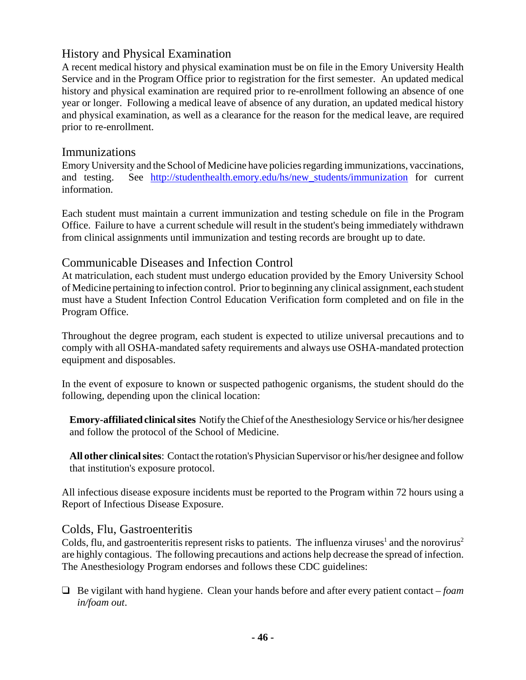### History and Physical Examination

A recent medical history and physical examination must be on file in the Emory University Health Service and in the Program Office prior to registration for the first semester. An updated medical history and physical examination are required prior to re-enrollment following an absence of one year or longer. Following a medical leave of absence of any duration, an updated medical history and physical examination, as well as a clearance for the reason for the medical leave, are required prior to re-enrollment.

### Immunizations

Emory University and the School of Medicine have policies regarding immunizations, vaccinations, and testing. See http://studenthealth.emory.edu/hs/new\_students/immunization for current information.

Each student must maintain a current immunization and testing schedule on file in the Program Office. Failure to have a current schedule will result in the student's being immediately withdrawn from clinical assignments until immunization and testing records are brought up to date.

## Communicable Diseases and Infection Control

At matriculation, each student must undergo education provided by the Emory University School of Medicine pertaining to infection control. Prior to beginning any clinical assignment, each student must have a Student Infection Control Education Verification form completed and on file in the Program Office.

Throughout the degree program, each student is expected to utilize universal precautions and to comply with all OSHA-mandated safety requirements and always use OSHA-mandated protection equipment and disposables.

In the event of exposure to known or suspected pathogenic organisms, the student should do the following, depending upon the clinical location:

**Emory-affiliated clinical sites** Notify the Chief of the Anesthesiology Service or his/her designee and follow the protocol of the School of Medicine.

**All other clinical sites**: Contact the rotation's Physician Supervisor or his/her designee and follow that institution's exposure protocol.

All infectious disease exposure incidents must be reported to the Program within 72 hours using a Report of Infectious Disease Exposure.

### Colds, Flu, Gastroenteritis

Colds, flu, and gastroenteritis represent risks to patients. The influenza viruses<sup>1</sup> and the norovirus<sup>2</sup> are highly contagious. The following precautions and actions help decrease the spread of infection. The Anesthesiology Program endorses and follows these CDC guidelines:

" Be vigilant with hand hygiene. Clean your hands before and after every patient contact – *foam in/foam out*.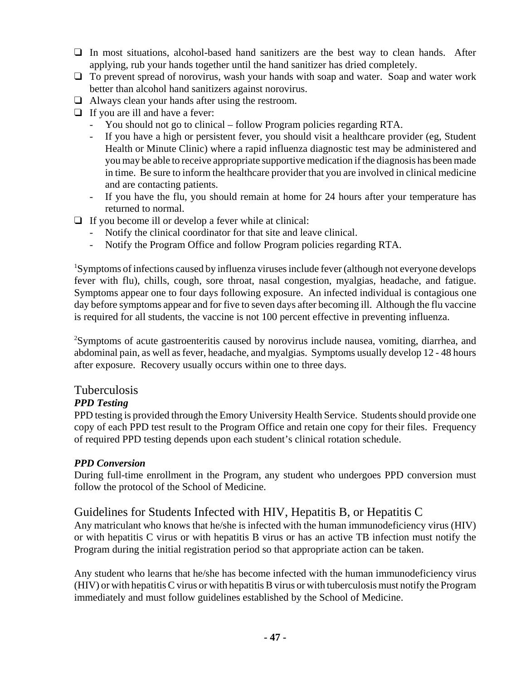- $\Box$  In most situations, alcohol-based hand sanitizers are the best way to clean hands. After applying, rub your hands together until the hand sanitizer has dried completely.
- $\Box$  To prevent spread of norovirus, wash your hands with soap and water. Soap and water work better than alcohol hand sanitizers against norovirus.
- $\Box$  Always clean your hands after using the restroom.
- $\Box$  If you are ill and have a fever:
	- You should not go to clinical follow Program policies regarding RTA.
	- If you have a high or persistent fever, you should visit a healthcare provider (eg, Student Health or Minute Clinic) where a rapid influenza diagnostic test may be administered and you may be able to receive appropriate supportive medication if the diagnosis has been made in time. Be sure to inform the healthcare provider that you are involved in clinical medicine and are contacting patients.
	- If you have the flu, you should remain at home for 24 hours after your temperature has returned to normal.
- $\Box$  If you become ill or develop a fever while at clinical:
	- Notify the clinical coordinator for that site and leave clinical.
	- Notify the Program Office and follow Program policies regarding RTA.

<sup>1</sup>Symptoms of infections caused by influenza viruses include fever (although not everyone develops fever with flu), chills, cough, sore throat, nasal congestion, myalgias, headache, and fatigue. Symptoms appear one to four days following exposure. An infected individual is contagious one day before symptoms appear and for five to seven days after becoming ill. Although the flu vaccine is required for all students, the vaccine is not 100 percent effective in preventing influenza.

<sup>2</sup>Symptoms of acute gastroenteritis caused by norovirus include nausea, vomiting, diarrhea, and abdominal pain, as well as fever, headache, and myalgias. Symptoms usually develop 12 - 48 hours after exposure. Recovery usually occurs within one to three days.

### Tuberculosis

### *PPD Testing*

PPD testing is provided through the Emory University Health Service. Students should provide one copy of each PPD test result to the Program Office and retain one copy for their files. Frequency of required PPD testing depends upon each student's clinical rotation schedule.

### *PPD Conversion*

During full-time enrollment in the Program, any student who undergoes PPD conversion must follow the protocol of the School of Medicine.

### Guidelines for Students Infected with HIV, Hepatitis B, or Hepatitis C

Any matriculant who knows that he/she is infected with the human immunodeficiency virus (HIV) or with hepatitis C virus or with hepatitis B virus or has an active TB infection must notify the Program during the initial registration period so that appropriate action can be taken.

Any student who learns that he/she has become infected with the human immunodeficiency virus (HIV) or with hepatitis C virus or with hepatitis B virus or with tuberculosis must notify the Program immediately and must follow guidelines established by the School of Medicine.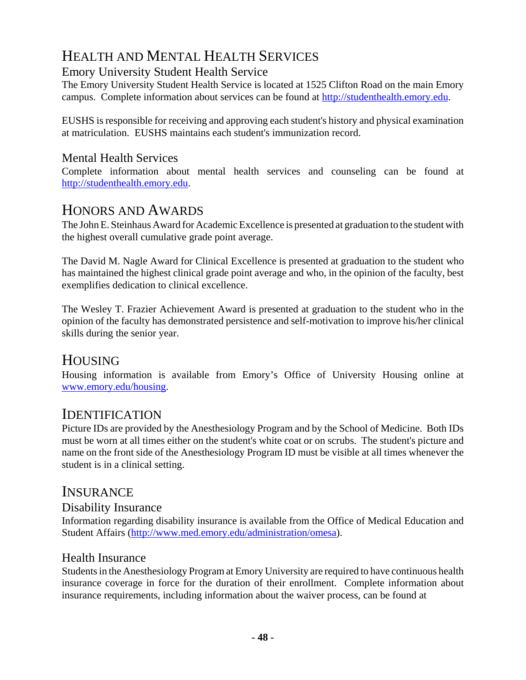# HEALTH AND MENTAL HEALTH SERVICES

## Emory University Student Health Service

The Emory University Student Health Service is located at 1525 Clifton Road on the main Emory campus. Complete information about services can be found at http://studenthealth.emory.edu.

EUSHS is responsible for receiving and approving each student's history and physical examination at matriculation. EUSHS maintains each student's immunization record.

### Mental Health Services

Complete information about mental health services and counseling can be found at http://studenthealth.emory.edu.

## HONORS AND AWARDS

The John E. Steinhaus Award for Academic Excellence is presented at graduation to the student with the highest overall cumulative grade point average.

The David M. Nagle Award for Clinical Excellence is presented at graduation to the student who has maintained the highest clinical grade point average and who, in the opinion of the faculty, best exemplifies dedication to clinical excellence.

The Wesley T. Frazier Achievement Award is presented at graduation to the student who in the opinion of the faculty has demonstrated persistence and self-motivation to improve his/her clinical skills during the senior year.

## HOUSING

Housing information is available from Emory's Office of University Housing online at www.emory.edu/housing.

## IDENTIFICATION

Picture IDs are provided by the Anesthesiology Program and by the School of Medicine. Both IDs must be worn at all times either on the student's white coat or on scrubs. The student's picture and name on the front side of the Anesthesiology Program ID must be visible at all times whenever the student is in a clinical setting.

## **INSURANCE**

### Disability Insurance

Information regarding disability insurance is available from the Office of Medical Education and Student Affairs (http://www.med.emory.edu/administration/omesa).

### Health Insurance

Students in the Anesthesiology Program at Emory University are required to have continuous health insurance coverage in force for the duration of their enrollment. Complete information about insurance requirements, including information about the waiver process, can be found at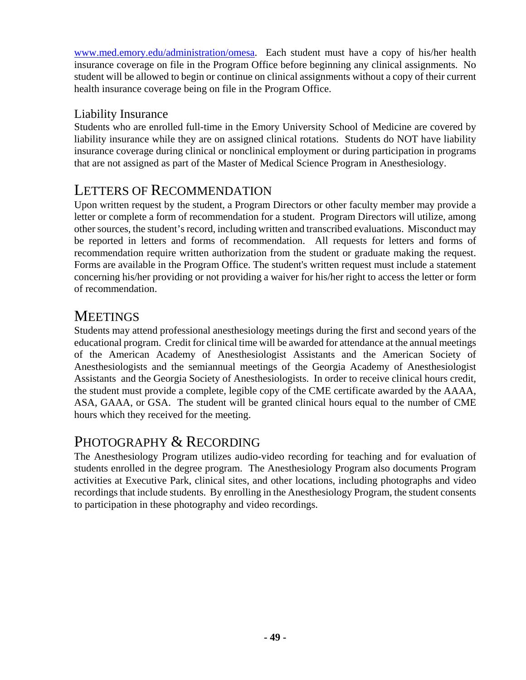www.med.emory.edu/administration/omesa. Each student must have a copy of his/her health insurance coverage on file in the Program Office before beginning any clinical assignments. No student will be allowed to begin or continue on clinical assignments without a copy of their current health insurance coverage being on file in the Program Office.

## Liability Insurance

Students who are enrolled full-time in the Emory University School of Medicine are covered by liability insurance while they are on assigned clinical rotations. Students do NOT have liability insurance coverage during clinical or nonclinical employment or during participation in programs that are not assigned as part of the Master of Medical Science Program in Anesthesiology.

## LETTERS OF RECOMMENDATION

Upon written request by the student, a Program Directors or other faculty member may provide a letter or complete a form of recommendation for a student. Program Directors will utilize, among other sources, the student's record, including written and transcribed evaluations. Misconduct may be reported in letters and forms of recommendation. All requests for letters and forms of recommendation require written authorization from the student or graduate making the request. Forms are available in the Program Office. The student's written request must include a statement concerning his/her providing or not providing a waiver for his/her right to access the letter or form of recommendation.

## **MEETINGS**

Students may attend professional anesthesiology meetings during the first and second years of the educational program. Credit for clinical time will be awarded for attendance at the annual meetings of the American Academy of Anesthesiologist Assistants and the American Society of Anesthesiologists and the semiannual meetings of the Georgia Academy of Anesthesiologist Assistants and the Georgia Society of Anesthesiologists. In order to receive clinical hours credit, the student must provide a complete, legible copy of the CME certificate awarded by the AAAA, ASA, GAAA, or GSA. The student will be granted clinical hours equal to the number of CME hours which they received for the meeting.

## PHOTOGRAPHY & RECORDING

The Anesthesiology Program utilizes audio-video recording for teaching and for evaluation of students enrolled in the degree program. The Anesthesiology Program also documents Program activities at Executive Park, clinical sites, and other locations, including photographs and video recordings that include students. By enrolling in the Anesthesiology Program, the student consents to participation in these photography and video recordings.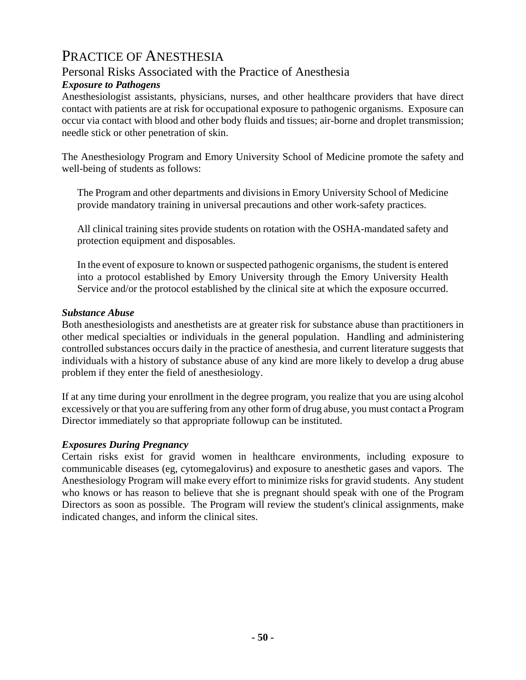## PRACTICE OF ANESTHESIA

## Personal Risks Associated with the Practice of Anesthesia

### *Exposure to Pathogens*

Anesthesiologist assistants, physicians, nurses, and other healthcare providers that have direct contact with patients are at risk for occupational exposure to pathogenic organisms. Exposure can occur via contact with blood and other body fluids and tissues; air-borne and droplet transmission; needle stick or other penetration of skin.

The Anesthesiology Program and Emory University School of Medicine promote the safety and well-being of students as follows:

The Program and other departments and divisions in Emory University School of Medicine provide mandatory training in universal precautions and other work-safety practices.

All clinical training sites provide students on rotation with the OSHA-mandated safety and protection equipment and disposables.

In the event of exposure to known or suspected pathogenic organisms, the student is entered into a protocol established by Emory University through the Emory University Health Service and/or the protocol established by the clinical site at which the exposure occurred.

#### *Substance Abuse*

Both anesthesiologists and anesthetists are at greater risk for substance abuse than practitioners in other medical specialties or individuals in the general population. Handling and administering controlled substances occurs daily in the practice of anesthesia, and current literature suggests that individuals with a history of substance abuse of any kind are more likely to develop a drug abuse problem if they enter the field of anesthesiology.

If at any time during your enrollment in the degree program, you realize that you are using alcohol excessively or that you are suffering from any other form of drug abuse, you must contact a Program Director immediately so that appropriate followup can be instituted.

#### *Exposures During Pregnancy*

Certain risks exist for gravid women in healthcare environments, including exposure to communicable diseases (eg, cytomegalovirus) and exposure to anesthetic gases and vapors. The Anesthesiology Program will make every effort to minimize risks for gravid students. Any student who knows or has reason to believe that she is pregnant should speak with one of the Program Directors as soon as possible. The Program will review the student's clinical assignments, make indicated changes, and inform the clinical sites.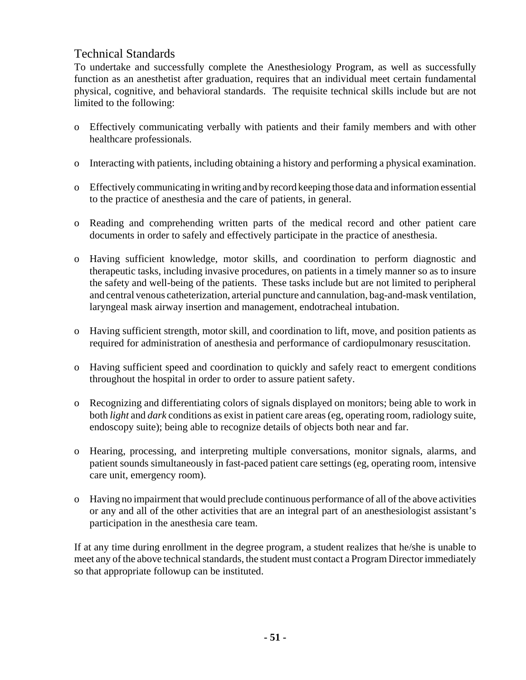### Technical Standards

To undertake and successfully complete the Anesthesiology Program, as well as successfully function as an anesthetist after graduation, requires that an individual meet certain fundamental physical, cognitive, and behavioral standards. The requisite technical skills include but are not limited to the following:

- o Effectively communicating verbally with patients and their family members and with other healthcare professionals.
- o Interacting with patients, including obtaining a history and performing a physical examination.
- o Effectively communicating in writing and by record keeping those data and information essential to the practice of anesthesia and the care of patients, in general.
- o Reading and comprehending written parts of the medical record and other patient care documents in order to safely and effectively participate in the practice of anesthesia.
- o Having sufficient knowledge, motor skills, and coordination to perform diagnostic and therapeutic tasks, including invasive procedures, on patients in a timely manner so as to insure the safety and well-being of the patients. These tasks include but are not limited to peripheral and central venous catheterization, arterial puncture and cannulation, bag-and-mask ventilation, laryngeal mask airway insertion and management, endotracheal intubation.
- o Having sufficient strength, motor skill, and coordination to lift, move, and position patients as required for administration of anesthesia and performance of cardiopulmonary resuscitation.
- o Having sufficient speed and coordination to quickly and safely react to emergent conditions throughout the hospital in order to order to assure patient safety.
- o Recognizing and differentiating colors of signals displayed on monitors; being able to work in both *light* and *dark* conditions as exist in patient care areas (eg, operating room, radiology suite, endoscopy suite); being able to recognize details of objects both near and far.
- o Hearing, processing, and interpreting multiple conversations, monitor signals, alarms, and patient sounds simultaneously in fast-paced patient care settings (eg, operating room, intensive care unit, emergency room).
- o Having no impairment that would preclude continuous performance of all of the above activities or any and all of the other activities that are an integral part of an anesthesiologist assistant's participation in the anesthesia care team.

If at any time during enrollment in the degree program, a student realizes that he/she is unable to meet any of the above technical standards, the student must contact a Program Director immediately so that appropriate followup can be instituted.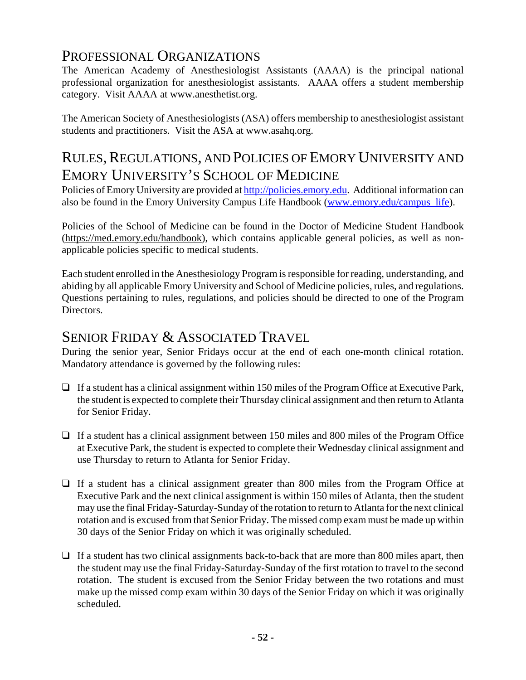## PROFESSIONAL ORGANIZATIONS

The American Academy of Anesthesiologist Assistants (AAAA) is the principal national professional organization for anesthesiologist assistants. AAAA offers a student membership category. Visit AAAA at www.anesthetist.org.

The American Society of Anesthesiologists (ASA) offers membership to anesthesiologist assistant students and practitioners. Visit the ASA at www.asahq.org.

# RULES, REGULATIONS, AND POLICIES OF EMORY UNIVERSITY AND EMORY UNIVERSITY'S SCHOOL OF MEDICINE

Policies of Emory University are provided at http://policies.emory.edu. Additional information can also be found in the Emory University Campus Life Handbook (www.emory.edu/campus\_life).

Policies of the School of Medicine can be found in the Doctor of Medicine Student Handbook (https://med.emory.edu/handbook), which contains applicable general policies, as well as nonapplicable policies specific to medical students.

Each student enrolled in the Anesthesiology Program is responsible for reading, understanding, and abiding by all applicable Emory University and School of Medicine policies, rules, and regulations. Questions pertaining to rules, regulations, and policies should be directed to one of the Program Directors.

## SENIOR FRIDAY & ASSOCIATED TRAVEL

During the senior year, Senior Fridays occur at the end of each one-month clinical rotation. Mandatory attendance is governed by the following rules:

- $\Box$  If a student has a clinical assignment within 150 miles of the Program Office at Executive Park, the student is expected to complete their Thursday clinical assignment and then return to Atlanta for Senior Friday.
- $\Box$  If a student has a clinical assignment between 150 miles and 800 miles of the Program Office at Executive Park, the student is expected to complete their Wednesday clinical assignment and use Thursday to return to Atlanta for Senior Friday.
- $\Box$  If a student has a clinical assignment greater than 800 miles from the Program Office at Executive Park and the next clinical assignment is within 150 miles of Atlanta, then the student may use the final Friday-Saturday-Sunday of the rotation to return to Atlanta for the next clinical rotation and is excused from that Senior Friday. The missed comp exam must be made up within 30 days of the Senior Friday on which it was originally scheduled.
- $\Box$  If a student has two clinical assignments back-to-back that are more than 800 miles apart, then the student may use the final Friday-Saturday-Sunday of the first rotation to travel to the second rotation. The student is excused from the Senior Friday between the two rotations and must make up the missed comp exam within 30 days of the Senior Friday on which it was originally scheduled.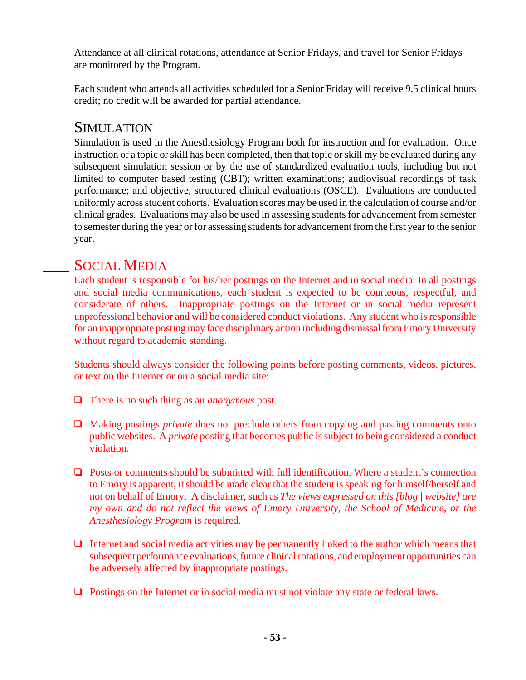Attendance at all clinical rotations, attendance at Senior Fridays, and travel for Senior Fridays are monitored by the Program.

Each student who attends all activities scheduled for a Senior Friday will receive 9.5 clinical hours credit; no credit will be awarded for partial attendance.

## SIMULATION

Simulation is used in the Anesthesiology Program both for instruction and for evaluation. Once instruction of a topic or skill has been completed, then that topic or skill my be evaluated during any subsequent simulation session or by the use of standardized evaluation tools, including but not limited to computer based testing (CBT); written examinations; audiovisual recordings of task performance; and objective, structured clinical evaluations (OSCE). Evaluations are conducted uniformly across student cohorts. Evaluation scores may be used in the calculation of course and/or clinical grades. Evaluations may also be used in assessing students for advancement from semester to semester during the year or for assessing students for advancement from the first year to the senior year.

## SOCIAL MEDIA

Each student is responsible for his/her postings on the Internet and in social media. In all postings and social media communications, each student is expected to be courteous, respectful, and considerate of others. Inappropriate postings on the Internet or in social media represent unprofessional behavior and will be considered conduct violations. Any student who is responsible for an inappropriate posting may face disciplinary action including dismissal from Emory University without regard to academic standing.

Students should always consider the following points before posting comments, videos, pictures, or text on the Internet or on a social media site:

- There is no such thing as an *anonymous* post.
- □ Making postings *private* does not preclude others from copying and pasting comments onto public websites. A *private* posting that becomes public is subject to being considered a conduct violation.
- $\Box$  Posts or comments should be submitted with full identification. Where a student's connection to Emory is apparent, it should be made clear that the student is speaking for himself/herself and not on behalf of Emory. A disclaimer, such as *The views expressed on this [blog | website] are my own and do not reflect the views of Emory University, the School of Medicine, or the Anesthesiology Program* is required.
- $\Box$  Internet and social media activities may be permanently linked to the author which means that subsequent performance evaluations, future clinical rotations, and employment opportunities can be adversely affected by inappropriate postings.
- $\Box$  Postings on the Internet or in social media must not violate any state or federal laws.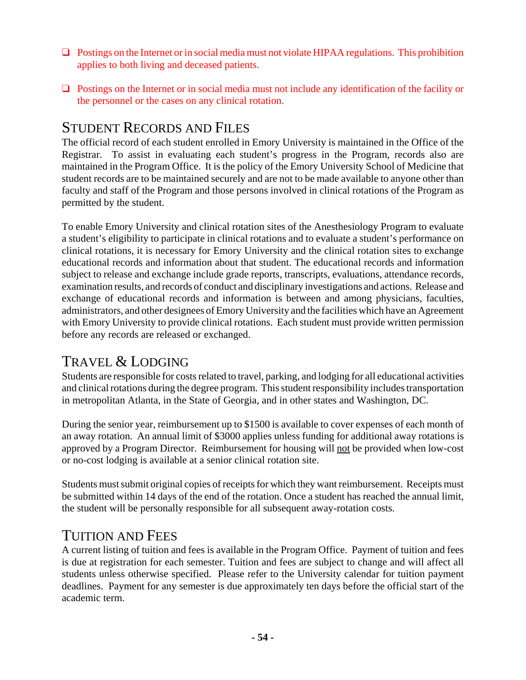- $\Box$  Postings on the Internet or in social media must not violate HIPAA regulations. This prohibition applies to both living and deceased patients.
- $\Box$  Postings on the Internet or in social media must not include any identification of the facility or the personnel or the cases on any clinical rotation.

## STUDENT RECORDS AND FILES

The official record of each student enrolled in Emory University is maintained in the Office of the Registrar. To assist in evaluating each student's progress in the Program, records also are maintained in the Program Office. It is the policy of the Emory University School of Medicine that student records are to be maintained securely and are not to be made available to anyone other than faculty and staff of the Program and those persons involved in clinical rotations of the Program as permitted by the student.

To enable Emory University and clinical rotation sites of the Anesthesiology Program to evaluate a student's eligibility to participate in clinical rotations and to evaluate a student's performance on clinical rotations, it is necessary for Emory University and the clinical rotation sites to exchange educational records and information about that student. The educational records and information subject to release and exchange include grade reports, transcripts, evaluations, attendance records, examination results, and records of conduct and disciplinary investigations and actions. Release and exchange of educational records and information is between and among physicians, faculties, administrators, and other designees of Emory University and the facilities which have an Agreement with Emory University to provide clinical rotations. Each student must provide written permission before any records are released or exchanged.

# TRAVEL & LODGING

Students are responsible for costs related to travel, parking, and lodging for all educational activities and clinical rotations during the degree program. This student responsibility includes transportation in metropolitan Atlanta, in the State of Georgia, and in other states and Washington, DC.

During the senior year, reimbursement up to \$1500 is available to cover expenses of each month of an away rotation. An annual limit of \$3000 applies unless funding for additional away rotations is approved by a Program Director. Reimbursement for housing will not be provided when low-cost or no-cost lodging is available at a senior clinical rotation site.

Students must submit original copies of receipts for which they want reimbursement. Receipts must be submitted within 14 days of the end of the rotation. Once a student has reached the annual limit, the student will be personally responsible for all subsequent away-rotation costs.

## TUITION AND FEES

A current listing of tuition and fees is available in the Program Office. Payment of tuition and fees is due at registration for each semester. Tuition and fees are subject to change and will affect all students unless otherwise specified. Please refer to the University calendar for tuition payment deadlines. Payment for any semester is due approximately ten days before the official start of the academic term.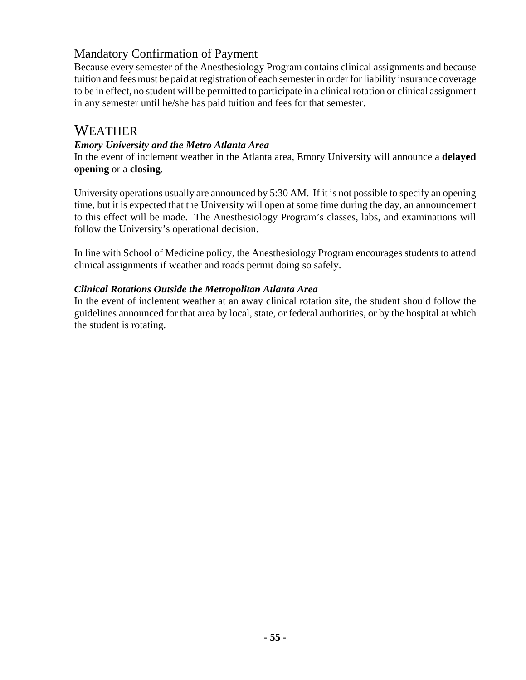## Mandatory Confirmation of Payment

Because every semester of the Anesthesiology Program contains clinical assignments and because tuition and fees must be paid at registration of each semester in order for liability insurance coverage to be in effect, no student will be permitted to participate in a clinical rotation or clinical assignment in any semester until he/she has paid tuition and fees for that semester.

## WEATHER

#### *Emory University and the Metro Atlanta Area*

In the event of inclement weather in the Atlanta area, Emory University will announce a **delayed opening** or a **closing**.

University operations usually are announced by 5:30 AM. If it is not possible to specify an opening time, but it is expected that the University will open at some time during the day, an announcement to this effect will be made. The Anesthesiology Program's classes, labs, and examinations will follow the University's operational decision.

In line with School of Medicine policy, the Anesthesiology Program encourages students to attend clinical assignments if weather and roads permit doing so safely.

#### *Clinical Rotations Outside the Metropolitan Atlanta Area*

In the event of inclement weather at an away clinical rotation site, the student should follow the guidelines announced for that area by local, state, or federal authorities, or by the hospital at which the student is rotating.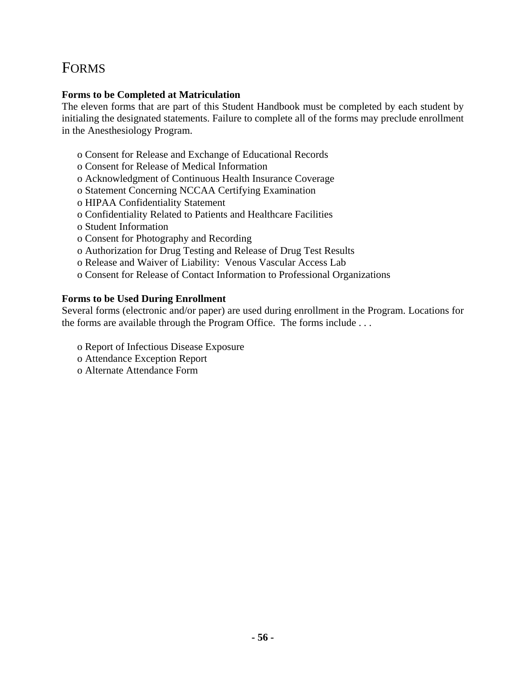# FORMS

### **Forms to be Completed at Matriculation**

The eleven forms that are part of this Student Handbook must be completed by each student by initialing the designated statements. Failure to complete all of the forms may preclude enrollment in the Anesthesiology Program.

- o Consent for Release and Exchange of Educational Records
- o Consent for Release of Medical Information
- o Acknowledgment of Continuous Health Insurance Coverage
- o Statement Concerning NCCAA Certifying Examination
- o HIPAA Confidentiality Statement
- o Confidentiality Related to Patients and Healthcare Facilities
- o Student Information
- o Consent for Photography and Recording
- o Authorization for Drug Testing and Release of Drug Test Results
- o Release and Waiver of Liability: Venous Vascular Access Lab
- o Consent for Release of Contact Information to Professional Organizations

### **Forms to be Used During Enrollment**

Several forms (electronic and/or paper) are used during enrollment in the Program. Locations for the forms are available through the Program Office. The forms include . . .

- o Report of Infectious Disease Exposure
- o Attendance Exception Report
- o Alternate Attendance Form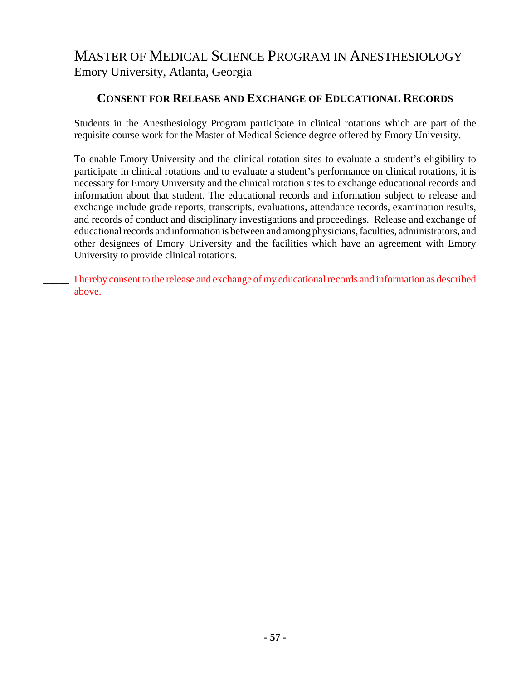### **CONSENT FOR RELEASE AND EXCHANGE OF EDUCATIONAL RECORDS**

Students in the Anesthesiology Program participate in clinical rotations which are part of the requisite course work for the Master of Medical Science degree offered by Emory University.

To enable Emory University and the clinical rotation sites to evaluate a student's eligibility to participate in clinical rotations and to evaluate a student's performance on clinical rotations, it is necessary for Emory University and the clinical rotation sites to exchange educational records and information about that student. The educational records and information subject to release and exchange include grade reports, transcripts, evaluations, attendance records, examination results, and records of conduct and disciplinary investigations and proceedings. Release and exchange of educational records and information is between and among physicians, faculties, administrators, and other designees of Emory University and the facilities which have an agreement with Emory University to provide clinical rotations.

\_\_\_\_\_ I hereby consent to the release and exchange of my educational records and information as described above.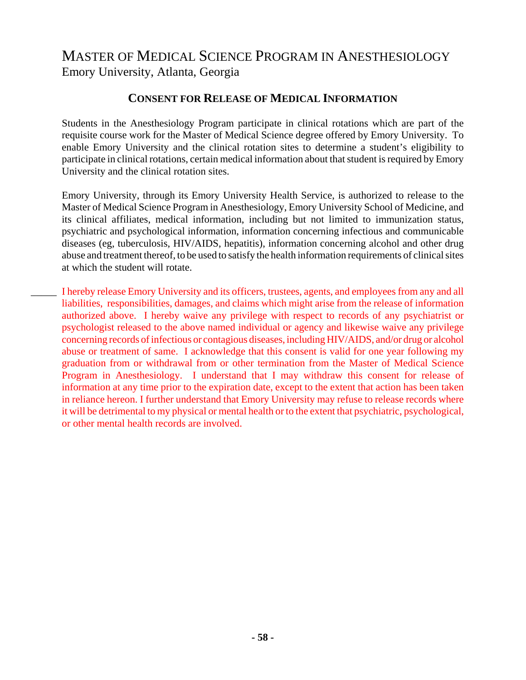### **CONSENT FOR RELEASE OF MEDICAL INFORMATION**

Students in the Anesthesiology Program participate in clinical rotations which are part of the requisite course work for the Master of Medical Science degree offered by Emory University. To enable Emory University and the clinical rotation sites to determine a student's eligibility to participate in clinical rotations, certain medical information about that student is required by Emory University and the clinical rotation sites.

Emory University, through its Emory University Health Service, is authorized to release to the Master of Medical Science Program in Anesthesiology, Emory University School of Medicine, and its clinical affiliates, medical information, including but not limited to immunization status, psychiatric and psychological information, information concerning infectious and communicable diseases (eg, tuberculosis, HIV/AIDS, hepatitis), information concerning alcohol and other drug abuse and treatment thereof, to be used to satisfy the health information requirements of clinical sites at which the student will rotate.

\_\_\_\_\_ I hereby release Emory University and its officers, trustees, agents, and employees from any and all liabilities, responsibilities, damages, and claims which might arise from the release of information authorized above. I hereby waive any privilege with respect to records of any psychiatrist or psychologist released to the above named individual or agency and likewise waive any privilege concerning records of infectious or contagious diseases, including HIV/AIDS, and/or drug or alcohol abuse or treatment of same. I acknowledge that this consent is valid for one year following my graduation from or withdrawal from or other termination from the Master of Medical Science Program in Anesthesiology. I understand that I may withdraw this consent for release of information at any time prior to the expiration date, except to the extent that action has been taken in reliance hereon. I further understand that Emory University may refuse to release records where it will be detrimental to my physical or mental health or to the extent that psychiatric, psychological, or other mental health records are involved.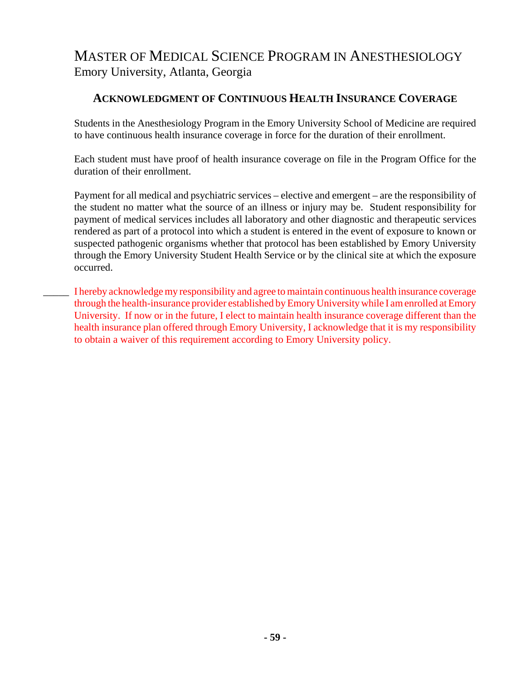### **ACKNOWLEDGMENT OF CONTINUOUS HEALTH INSURANCE COVERAGE**

Students in the Anesthesiology Program in the Emory University School of Medicine are required to have continuous health insurance coverage in force for the duration of their enrollment.

Each student must have proof of health insurance coverage on file in the Program Office for the duration of their enrollment.

Payment for all medical and psychiatric services – elective and emergent – are the responsibility of the student no matter what the source of an illness or injury may be. Student responsibility for payment of medical services includes all laboratory and other diagnostic and therapeutic services rendered as part of a protocol into which a student is entered in the event of exposure to known or suspected pathogenic organisms whether that protocol has been established by Emory University through the Emory University Student Health Service or by the clinical site at which the exposure occurred.

\_\_\_\_\_ I hereby acknowledge my responsibility and agree to maintain continuous health insurance coverage through the health-insurance provider established by Emory University while I am enrolled at Emory University. If now or in the future, I elect to maintain health insurance coverage different than the health insurance plan offered through Emory University, I acknowledge that it is my responsibility to obtain a waiver of this requirement according to Emory University policy.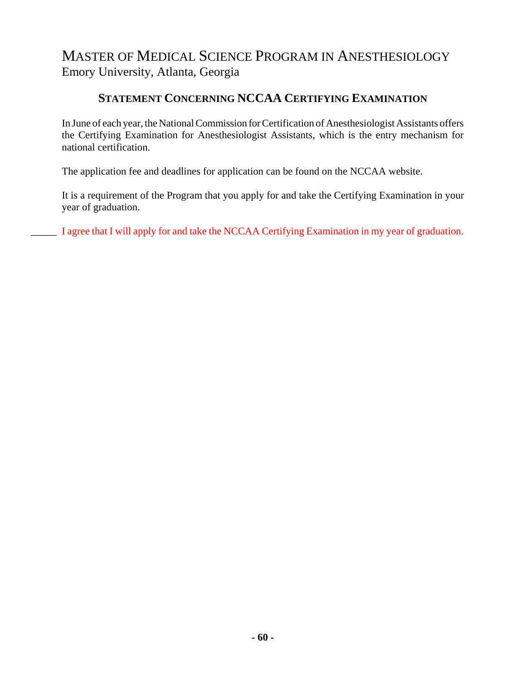### **STATEMENT CONCERNING NCCAA CERTIFYING EXAMINATION**

In June of each year, the National Commission for Certification of Anesthesiologist Assistants offers the Certifying Examination for Anesthesiologist Assistants, which is the entry mechanism for national certification.

The application fee and deadlines for application can be found on the NCCAA website.

It is a requirement of the Program that you apply for and take the Certifying Examination in your year of graduation.

I agree that I will apply for and take the NCCAA Certifying Examination in my year of graduation.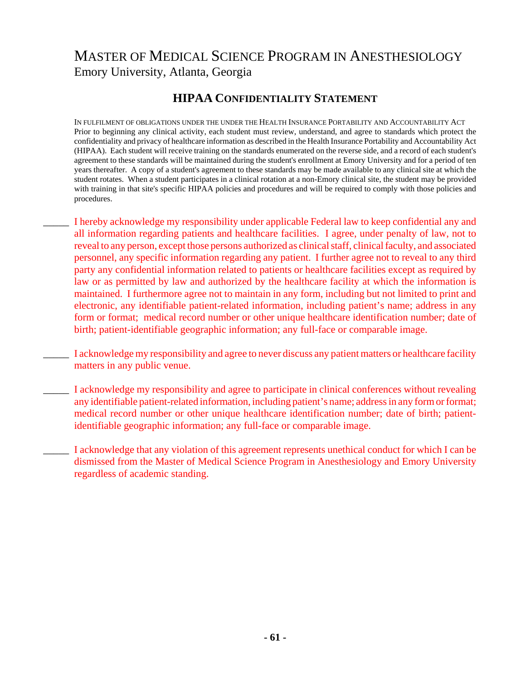## **HIPAA CONFIDENTIALITY STATEMENT**

IN FULFILMENT OF OBLIGATIONS UNDER THE UNDER THE HEALTH INSURANCE PORTABILITY AND ACCOUNTABILITY ACT Prior to beginning any clinical activity, each student must review, understand, and agree to standards which protect the confidentiality and privacy of healthcare information as described in the Health Insurance Portability and Accountability Act (HIPAA). Each student will receive training on the standards enumerated on the reverse side, and a record of each student's agreement to these standards will be maintained during the student's enrollment at Emory University and for a period of ten years thereafter. A copy of a student's agreement to these standards may be made available to any clinical site at which the student rotates. When a student participates in a clinical rotation at a non-Emory clinical site, the student may be provided with training in that site's specific HIPAA policies and procedures and will be required to comply with those policies and procedures.

- \_\_\_\_\_ I hereby acknowledge my responsibility under applicable Federal law to keep confidential any and all information regarding patients and healthcare facilities. I agree, under penalty of law, not to reveal to any person, except those persons authorized as clinical staff, clinical faculty, and associated personnel, any specific information regarding any patient. I further agree not to reveal to any third party any confidential information related to patients or healthcare facilities except as required by law or as permitted by law and authorized by the healthcare facility at which the information is maintained. I furthermore agree not to maintain in any form, including but not limited to print and electronic, any identifiable patient-related information, including patient's name; address in any form or format; medical record number or other unique healthcare identification number; date of birth; patient-identifiable geographic information; any full-face or comparable image.
- \_\_\_\_\_ I acknowledge my responsibility and agree to never discuss any patient matters or healthcare facility matters in any public venue.
- \_\_\_\_\_ I acknowledge my responsibility and agree to participate in clinical conferences without revealing any identifiable patient-related information, including patient's name; address in any form or format; medical record number or other unique healthcare identification number; date of birth; patientidentifiable geographic information; any full-face or comparable image.
	- \_\_\_\_\_ I acknowledge that any violation of this agreement represents unethical conduct for which I can be dismissed from the Master of Medical Science Program in Anesthesiology and Emory University regardless of academic standing.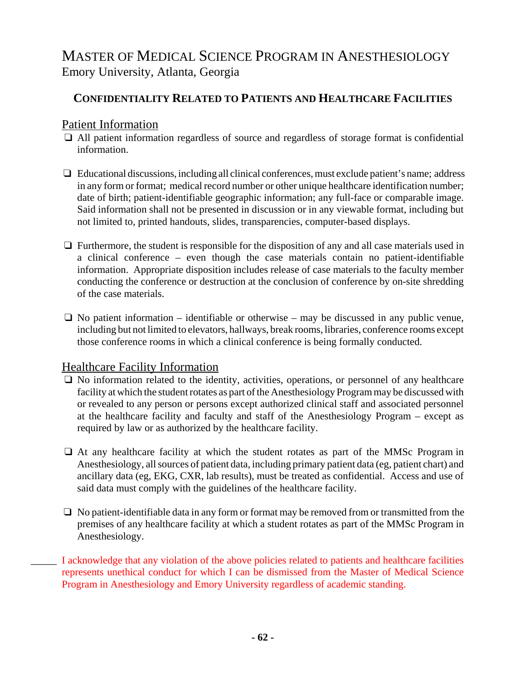## **CONFIDENTIALITY RELATED TO PATIENTS AND HEALTHCARE FACILITIES**

## Patient Information

- $\Box$  All patient information regardless of source and regardless of storage format is confidential information.
- $\Box$  Educational discussions, including all clinical conferences, must exclude patient's name; address in any form or format; medical record number or other unique healthcare identification number; date of birth; patient-identifiable geographic information; any full-face or comparable image. Said information shall not be presented in discussion or in any viewable format, including but not limited to, printed handouts, slides, transparencies, computer-based displays.
- $\Box$  Furthermore, the student is responsible for the disposition of any and all case materials used in a clinical conference – even though the case materials contain no patient-identifiable information. Appropriate disposition includes release of case materials to the faculty member conducting the conference or destruction at the conclusion of conference by on-site shredding of the case materials.
- $\Box$  No patient information identifiable or otherwise may be discussed in any public venue, including but not limited to elevators, hallways, break rooms, libraries, conference rooms except those conference rooms in which a clinical conference is being formally conducted.

### Healthcare Facility Information

- $\Box$  No information related to the identity, activities, operations, or personnel of any healthcare facility at which the student rotates as part of the Anesthesiology Program may be discussed with or revealed to any person or persons except authorized clinical staff and associated personnel at the healthcare facility and faculty and staff of the Anesthesiology Program – except as required by law or as authorized by the healthcare facility.
- $\Box$  At any healthcare facility at which the student rotates as part of the MMSc Program in Anesthesiology, all sources of patient data, including primary patient data (eg, patient chart) and ancillary data (eg, EKG, CXR, lab results), must be treated as confidential. Access and use of said data must comply with the guidelines of the healthcare facility.
- $\Box$  No patient-identifiable data in any form or format may be removed from or transmitted from the premises of any healthcare facility at which a student rotates as part of the MMSc Program in Anesthesiology.
- \_\_\_\_\_ I acknowledge that any violation of the above policies related to patients and healthcare facilities represents unethical conduct for which I can be dismissed from the Master of Medical Science Program in Anesthesiology and Emory University regardless of academic standing.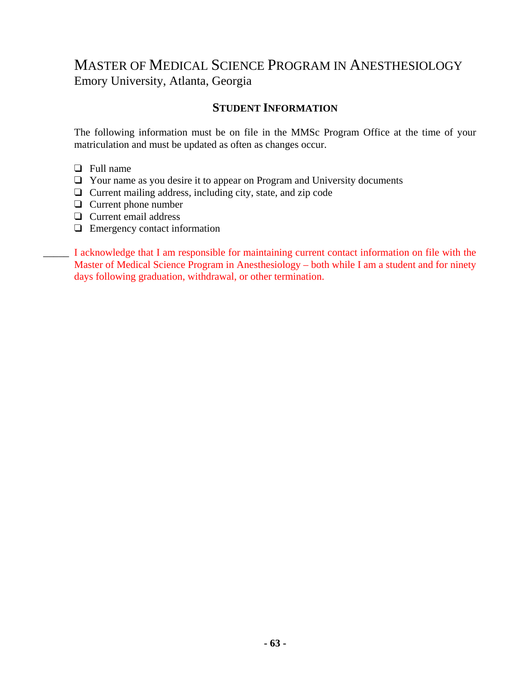### **STUDENT INFORMATION**

The following information must be on file in the MMSc Program Office at the time of your matriculation and must be updated as often as changes occur.

- $\Box$  Full name
- $\Box$  Your name as you desire it to appear on Program and University documents
- $\Box$  Current mailing address, including city, state, and zip code
- $\Box$  Current phone number
- $\Box$  Current email address
- $\Box$  Emergency contact information

\_\_\_\_\_ I acknowledge that I am responsible for maintaining current contact information on file with the Master of Medical Science Program in Anesthesiology – both while I am a student and for ninety days following graduation, withdrawal, or other termination.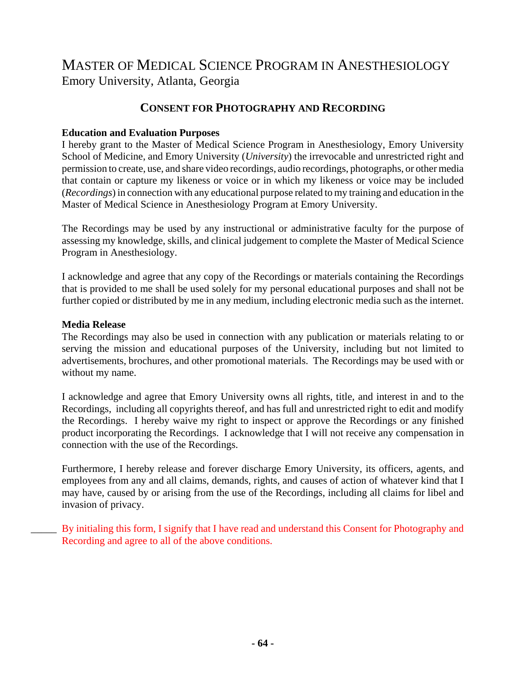### **CONSENT FOR PHOTOGRAPHY AND RECORDING**

### **Education and Evaluation Purposes**

I hereby grant to the Master of Medical Science Program in Anesthesiology, Emory University School of Medicine, and Emory University (*University*) the irrevocable and unrestricted right and permission to create, use, and share video recordings, audio recordings, photographs, or other media that contain or capture my likeness or voice or in which my likeness or voice may be included (*Recordings*) in connection with any educational purpose related to my training and education in the Master of Medical Science in Anesthesiology Program at Emory University.

The Recordings may be used by any instructional or administrative faculty for the purpose of assessing my knowledge, skills, and clinical judgement to complete the Master of Medical Science Program in Anesthesiology.

I acknowledge and agree that any copy of the Recordings or materials containing the Recordings that is provided to me shall be used solely for my personal educational purposes and shall not be further copied or distributed by me in any medium, including electronic media such as the internet.

#### **Media Release**

The Recordings may also be used in connection with any publication or materials relating to or serving the mission and educational purposes of the University, including but not limited to advertisements, brochures, and other promotional materials. The Recordings may be used with or without my name.

I acknowledge and agree that Emory University owns all rights, title, and interest in and to the Recordings, including all copyrights thereof, and has full and unrestricted right to edit and modify the Recordings. I hereby waive my right to inspect or approve the Recordings or any finished product incorporating the Recordings. I acknowledge that I will not receive any compensation in connection with the use of the Recordings.

Furthermore, I hereby release and forever discharge Emory University, its officers, agents, and employees from any and all claims, demands, rights, and causes of action of whatever kind that I may have, caused by or arising from the use of the Recordings, including all claims for libel and invasion of privacy.

By initialing this form, I signify that I have read and understand this Consent for Photography and Recording and agree to all of the above conditions.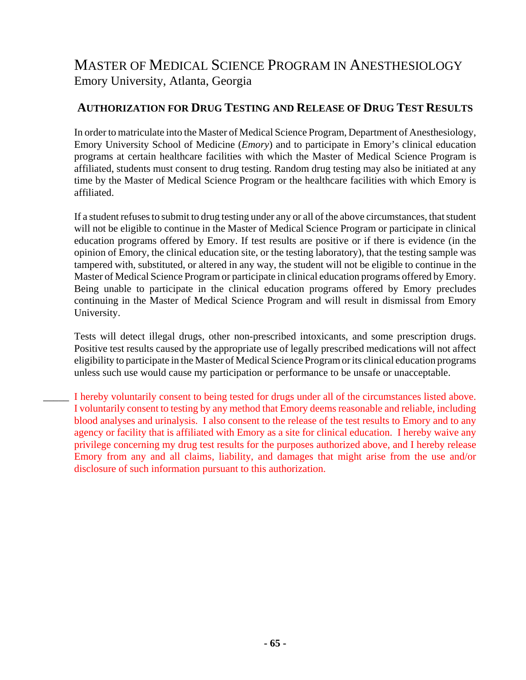## **AUTHORIZATION FOR DRUG TESTING AND RELEASE OF DRUG TEST RESULTS**

In order to matriculate into the Master of Medical Science Program, Department of Anesthesiology, Emory University School of Medicine (*Emory*) and to participate in Emory's clinical education programs at certain healthcare facilities with which the Master of Medical Science Program is affiliated, students must consent to drug testing. Random drug testing may also be initiated at any time by the Master of Medical Science Program or the healthcare facilities with which Emory is affiliated.

If a student refuses to submit to drug testing under any or all of the above circumstances, that student will not be eligible to continue in the Master of Medical Science Program or participate in clinical education programs offered by Emory. If test results are positive or if there is evidence (in the opinion of Emory, the clinical education site, or the testing laboratory), that the testing sample was tampered with, substituted, or altered in any way, the student will not be eligible to continue in the Master of Medical Science Program or participate in clinical education programs offered by Emory. Being unable to participate in the clinical education programs offered by Emory precludes continuing in the Master of Medical Science Program and will result in dismissal from Emory University.

Tests will detect illegal drugs, other non-prescribed intoxicants, and some prescription drugs. Positive test results caused by the appropriate use of legally prescribed medications will not affect eligibility to participate in the Master of Medical Science Program or its clinical education programs unless such use would cause my participation or performance to be unsafe or unacceptable.

I hereby voluntarily consent to being tested for drugs under all of the circumstances listed above. I voluntarily consent to testing by any method that Emory deems reasonable and reliable, including blood analyses and urinalysis. I also consent to the release of the test results to Emory and to any agency or facility that is affiliated with Emory as a site for clinical education. I hereby waive any privilege concerning my drug test results for the purposes authorized above, and I hereby release Emory from any and all claims, liability, and damages that might arise from the use and/or disclosure of such information pursuant to this authorization.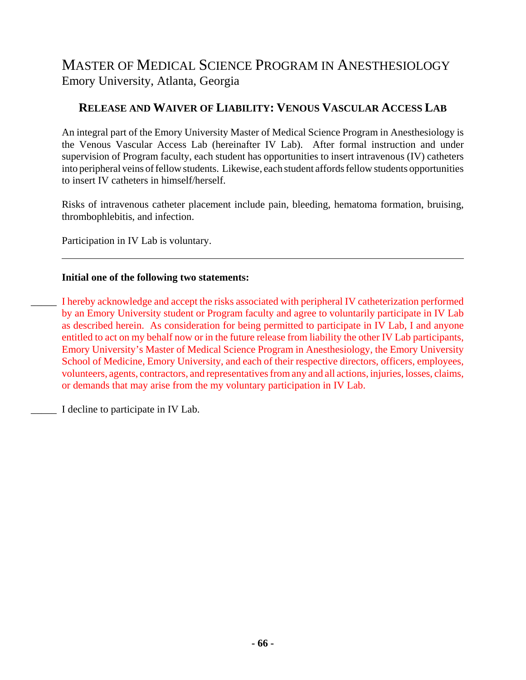## **RELEASE AND WAIVER OF LIABILITY: VENOUS VASCULAR ACCESS LAB**

An integral part of the Emory University Master of Medical Science Program in Anesthesiology is the Venous Vascular Access Lab (hereinafter IV Lab). After formal instruction and under supervision of Program faculty, each student has opportunities to insert intravenous (IV) catheters into peripheral veins of fellow students. Likewise, each student affords fellow students opportunities to insert IV catheters in himself/herself.

Risks of intravenous catheter placement include pain, bleeding, hematoma formation, bruising, thrombophlebitis, and infection.

Participation in IV Lab is voluntary.

#### **Initial one of the following two statements:**

\_\_\_\_\_ I hereby acknowledge and accept the risks associated with peripheral IV catheterization performed by an Emory University student or Program faculty and agree to voluntarily participate in IV Lab as described herein. As consideration for being permitted to participate in IV Lab, I and anyone entitled to act on my behalf now or in the future release from liability the other IV Lab participants, Emory University's Master of Medical Science Program in Anesthesiology, the Emory University School of Medicine, Emory University, and each of their respective directors, officers, employees, volunteers, agents, contractors, and representatives from any and all actions, injuries, losses, claims, or demands that may arise from the my voluntary participation in IV Lab.

I decline to participate in IV Lab.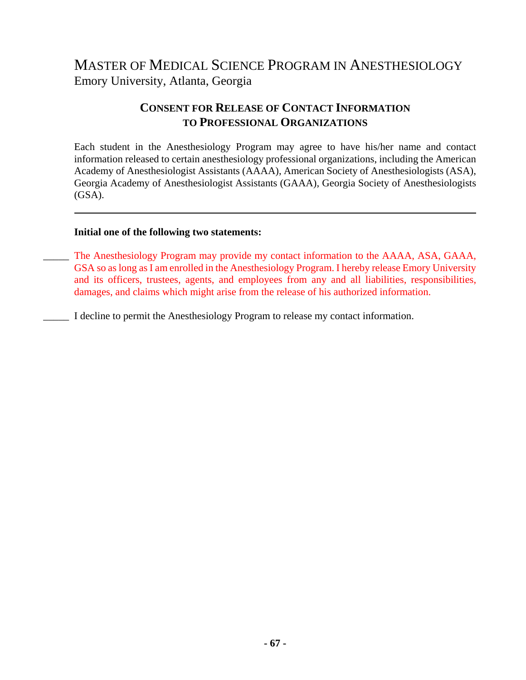## **CONSENT FOR RELEASE OF CONTACT INFORMATION TO PROFESSIONAL ORGANIZATIONS**

Each student in the Anesthesiology Program may agree to have his/her name and contact information released to certain anesthesiology professional organizations, including the American Academy of Anesthesiologist Assistants (AAAA), American Society of Anesthesiologists (ASA), Georgia Academy of Anesthesiologist Assistants (GAAA), Georgia Society of Anesthesiologists  $(GSA)$ .

#### **Initial one of the following two statements:**

- \_\_\_\_\_ The Anesthesiology Program may provide my contact information to the AAAA, ASA, GAAA, GSA so as long as I am enrolled in the Anesthesiology Program. I hereby release Emory University and its officers, trustees, agents, and employees from any and all liabilities, responsibilities, damages, and claims which might arise from the release of his authorized information.
- \_\_\_\_\_ I decline to permit the Anesthesiology Program to release my contact information.